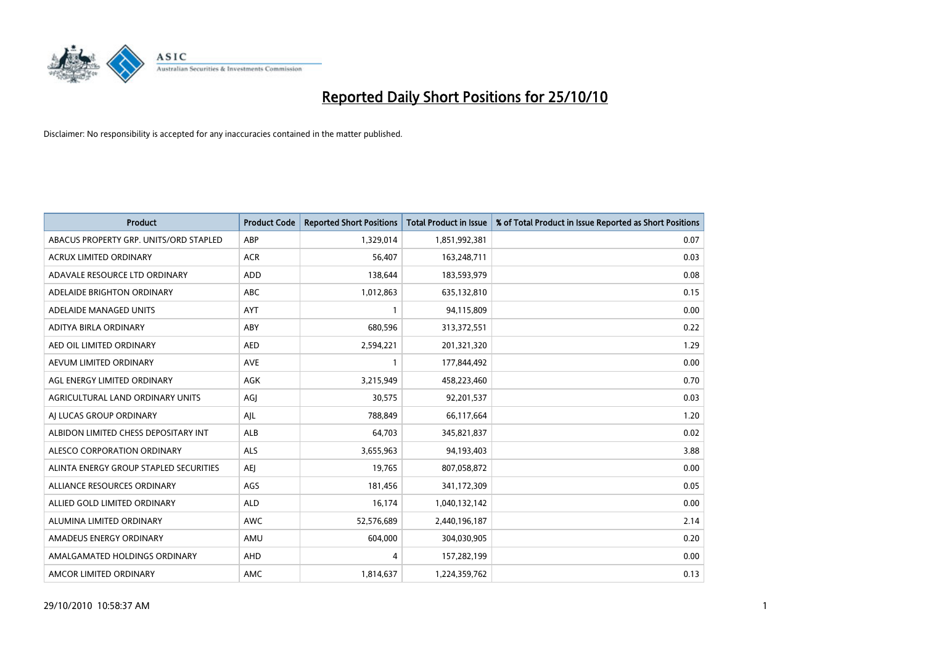

| <b>Product</b>                         | <b>Product Code</b> | <b>Reported Short Positions</b> | <b>Total Product in Issue</b> | % of Total Product in Issue Reported as Short Positions |
|----------------------------------------|---------------------|---------------------------------|-------------------------------|---------------------------------------------------------|
| ABACUS PROPERTY GRP. UNITS/ORD STAPLED | ABP                 | 1,329,014                       | 1,851,992,381                 | 0.07                                                    |
| ACRUX LIMITED ORDINARY                 | <b>ACR</b>          | 56,407                          | 163,248,711                   | 0.03                                                    |
| ADAVALE RESOURCE LTD ORDINARY          | ADD                 | 138,644                         | 183,593,979                   | 0.08                                                    |
| ADELAIDE BRIGHTON ORDINARY             | <b>ABC</b>          | 1,012,863                       | 635,132,810                   | 0.15                                                    |
| ADELAIDE MANAGED UNITS                 | <b>AYT</b>          |                                 | 94,115,809                    | 0.00                                                    |
| ADITYA BIRLA ORDINARY                  | ABY                 | 680,596                         | 313,372,551                   | 0.22                                                    |
| AED OIL LIMITED ORDINARY               | <b>AED</b>          | 2,594,221                       | 201,321,320                   | 1.29                                                    |
| AEVUM LIMITED ORDINARY                 | <b>AVE</b>          |                                 | 177,844,492                   | 0.00                                                    |
| AGL ENERGY LIMITED ORDINARY            | AGK                 | 3,215,949                       | 458,223,460                   | 0.70                                                    |
| AGRICULTURAL LAND ORDINARY UNITS       | AGJ                 | 30,575                          | 92,201,537                    | 0.03                                                    |
| AJ LUCAS GROUP ORDINARY                | AJL                 | 788,849                         | 66,117,664                    | 1.20                                                    |
| ALBIDON LIMITED CHESS DEPOSITARY INT   | <b>ALB</b>          | 64,703                          | 345,821,837                   | 0.02                                                    |
| ALESCO CORPORATION ORDINARY            | ALS                 | 3,655,963                       | 94,193,403                    | 3.88                                                    |
| ALINTA ENERGY GROUP STAPLED SECURITIES | <b>AEI</b>          | 19,765                          | 807,058,872                   | 0.00                                                    |
| ALLIANCE RESOURCES ORDINARY            | AGS                 | 181,456                         | 341,172,309                   | 0.05                                                    |
| ALLIED GOLD LIMITED ORDINARY           | <b>ALD</b>          | 16,174                          | 1,040,132,142                 | 0.00                                                    |
| ALUMINA LIMITED ORDINARY               | <b>AWC</b>          | 52,576,689                      | 2,440,196,187                 | 2.14                                                    |
| AMADEUS ENERGY ORDINARY                | AMU                 | 604,000                         | 304,030,905                   | 0.20                                                    |
| AMALGAMATED HOLDINGS ORDINARY          | AHD                 | 4                               | 157,282,199                   | 0.00                                                    |
| AMCOR LIMITED ORDINARY                 | AMC                 | 1,814,637                       | 1,224,359,762                 | 0.13                                                    |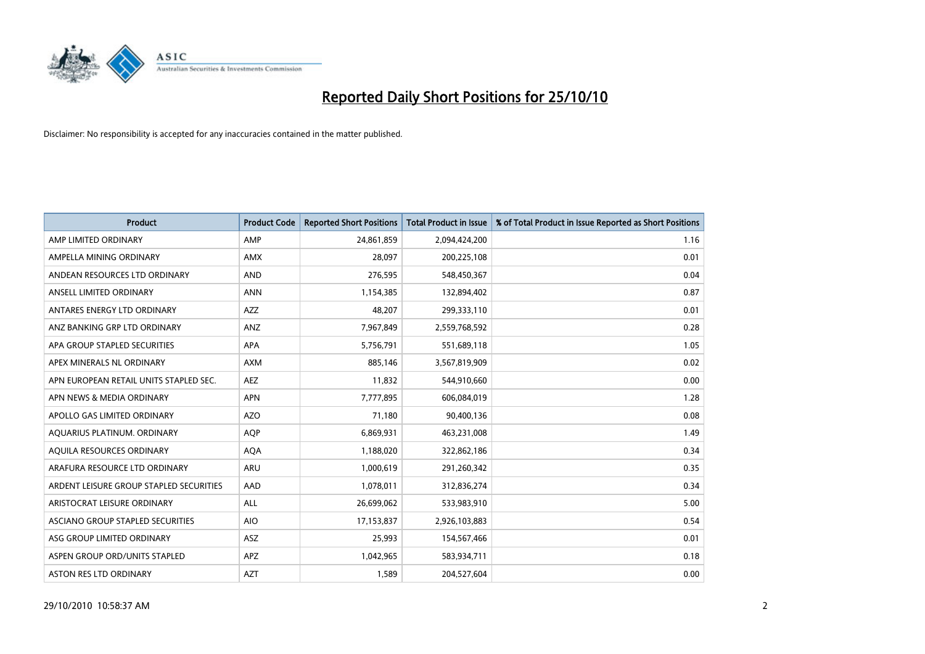

| <b>Product</b>                          | <b>Product Code</b> | <b>Reported Short Positions</b> | Total Product in Issue | % of Total Product in Issue Reported as Short Positions |
|-----------------------------------------|---------------------|---------------------------------|------------------------|---------------------------------------------------------|
| AMP LIMITED ORDINARY                    | AMP                 | 24,861,859                      | 2,094,424,200          | 1.16                                                    |
| AMPELLA MINING ORDINARY                 | <b>AMX</b>          | 28.097                          | 200,225,108            | 0.01                                                    |
| ANDEAN RESOURCES LTD ORDINARY           | <b>AND</b>          | 276,595                         | 548,450,367            | 0.04                                                    |
| ANSELL LIMITED ORDINARY                 | <b>ANN</b>          | 1,154,385                       | 132,894,402            | 0.87                                                    |
| ANTARES ENERGY LTD ORDINARY             | <b>AZZ</b>          | 48.207                          | 299,333,110            | 0.01                                                    |
| ANZ BANKING GRP LTD ORDINARY            | ANZ                 | 7,967,849                       | 2,559,768,592          | 0.28                                                    |
| APA GROUP STAPLED SECURITIES            | <b>APA</b>          | 5,756,791                       | 551,689,118            | 1.05                                                    |
| APEX MINERALS NL ORDINARY               | <b>AXM</b>          | 885,146                         | 3,567,819,909          | 0.02                                                    |
| APN EUROPEAN RETAIL UNITS STAPLED SEC.  | <b>AEZ</b>          | 11,832                          | 544,910,660            | 0.00                                                    |
| APN NEWS & MEDIA ORDINARY               | <b>APN</b>          | 7,777,895                       | 606,084,019            | 1.28                                                    |
| APOLLO GAS LIMITED ORDINARY             | <b>AZO</b>          | 71,180                          | 90,400,136             | 0.08                                                    |
| AQUARIUS PLATINUM. ORDINARY             | <b>AOP</b>          | 6,869,931                       | 463,231,008            | 1.49                                                    |
| AQUILA RESOURCES ORDINARY               | <b>AQA</b>          | 1,188,020                       | 322,862,186            | 0.34                                                    |
| ARAFURA RESOURCE LTD ORDINARY           | <b>ARU</b>          | 1,000,619                       | 291,260,342            | 0.35                                                    |
| ARDENT LEISURE GROUP STAPLED SECURITIES | AAD                 | 1,078,011                       | 312,836,274            | 0.34                                                    |
| ARISTOCRAT LEISURE ORDINARY             | <b>ALL</b>          | 26,699,062                      | 533,983,910            | 5.00                                                    |
| ASCIANO GROUP STAPLED SECURITIES        | <b>AIO</b>          | 17,153,837                      | 2,926,103,883          | 0.54                                                    |
| ASG GROUP LIMITED ORDINARY              | <b>ASZ</b>          | 25,993                          | 154,567,466            | 0.01                                                    |
| ASPEN GROUP ORD/UNITS STAPLED           | <b>APZ</b>          | 1,042,965                       | 583,934,711            | 0.18                                                    |
| <b>ASTON RES LTD ORDINARY</b>           | <b>AZT</b>          | 1.589                           | 204,527,604            | 0.00                                                    |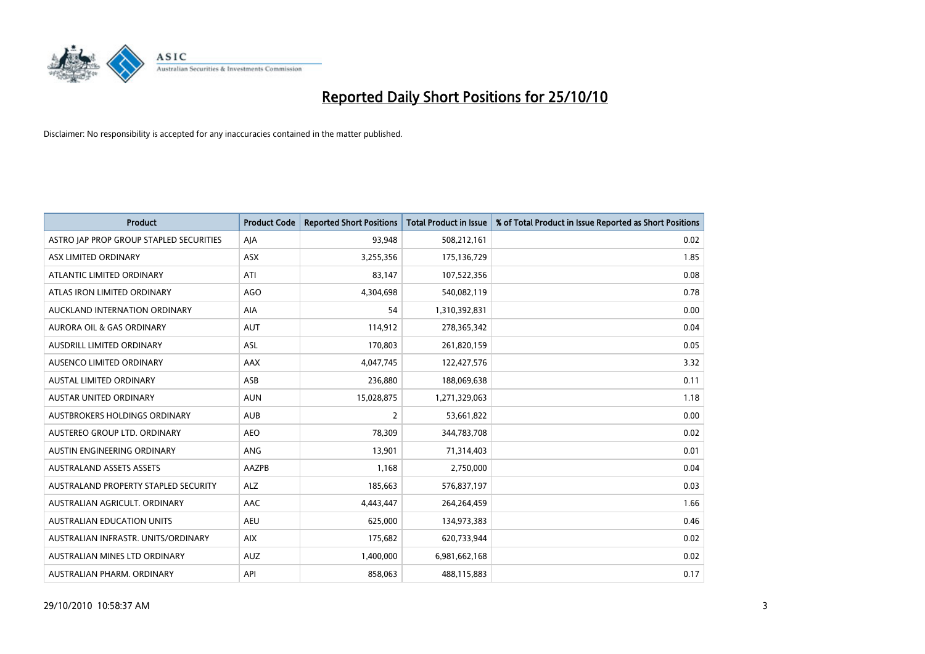

| <b>Product</b>                          | <b>Product Code</b> | <b>Reported Short Positions</b> | Total Product in Issue | % of Total Product in Issue Reported as Short Positions |
|-----------------------------------------|---------------------|---------------------------------|------------------------|---------------------------------------------------------|
| ASTRO JAP PROP GROUP STAPLED SECURITIES | AJA                 | 93,948                          | 508,212,161            | 0.02                                                    |
| ASX LIMITED ORDINARY                    | ASX                 | 3,255,356                       | 175,136,729            | 1.85                                                    |
| ATLANTIC LIMITED ORDINARY               | ATI                 | 83.147                          | 107,522,356            | 0.08                                                    |
| ATLAS IRON LIMITED ORDINARY             | AGO                 | 4,304,698                       | 540,082,119            | 0.78                                                    |
| AUCKLAND INTERNATION ORDINARY           | <b>AIA</b>          | 54                              | 1,310,392,831          | 0.00                                                    |
| <b>AURORA OIL &amp; GAS ORDINARY</b>    | <b>AUT</b>          | 114,912                         | 278,365,342            | 0.04                                                    |
| AUSDRILL LIMITED ORDINARY               | <b>ASL</b>          | 170,803                         | 261,820,159            | 0.05                                                    |
| AUSENCO LIMITED ORDINARY                | AAX                 | 4,047,745                       | 122,427,576            | 3.32                                                    |
| AUSTAL LIMITED ORDINARY                 | ASB                 | 236,880                         | 188,069,638            | 0.11                                                    |
| <b>AUSTAR UNITED ORDINARY</b>           | <b>AUN</b>          | 15,028,875                      | 1,271,329,063          | 1.18                                                    |
| AUSTBROKERS HOLDINGS ORDINARY           | <b>AUB</b>          | 2                               | 53,661,822             | 0.00                                                    |
| AUSTEREO GROUP LTD. ORDINARY            | <b>AEO</b>          | 78,309                          | 344,783,708            | 0.02                                                    |
| AUSTIN ENGINEERING ORDINARY             | ANG                 | 13,901                          | 71,314,403             | 0.01                                                    |
| <b>AUSTRALAND ASSETS ASSETS</b>         | AAZPB               | 1,168                           | 2,750,000              | 0.04                                                    |
| AUSTRALAND PROPERTY STAPLED SECURITY    | <b>ALZ</b>          | 185,663                         | 576,837,197            | 0.03                                                    |
| AUSTRALIAN AGRICULT. ORDINARY           | AAC                 | 4,443,447                       | 264,264,459            | 1.66                                                    |
| <b>AUSTRALIAN EDUCATION UNITS</b>       | <b>AEU</b>          | 625,000                         | 134,973,383            | 0.46                                                    |
| AUSTRALIAN INFRASTR. UNITS/ORDINARY     | <b>AIX</b>          | 175,682                         | 620,733,944            | 0.02                                                    |
| AUSTRALIAN MINES LTD ORDINARY           | <b>AUZ</b>          | 1,400,000                       | 6,981,662,168          | 0.02                                                    |
| AUSTRALIAN PHARM. ORDINARY              | API                 | 858.063                         | 488,115,883            | 0.17                                                    |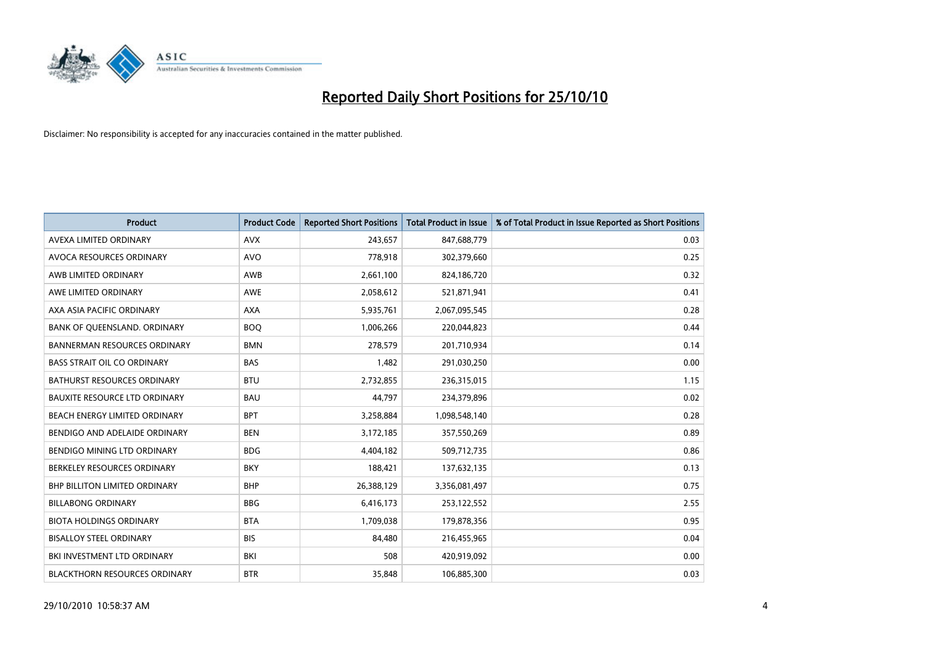

| <b>Product</b>                       | <b>Product Code</b> | <b>Reported Short Positions</b> | <b>Total Product in Issue</b> | % of Total Product in Issue Reported as Short Positions |
|--------------------------------------|---------------------|---------------------------------|-------------------------------|---------------------------------------------------------|
| AVEXA LIMITED ORDINARY               | <b>AVX</b>          | 243,657                         | 847,688,779                   | 0.03                                                    |
| AVOCA RESOURCES ORDINARY             | <b>AVO</b>          | 778,918                         | 302,379,660                   | 0.25                                                    |
| AWB LIMITED ORDINARY                 | <b>AWB</b>          | 2,661,100                       | 824,186,720                   | 0.32                                                    |
| AWE LIMITED ORDINARY                 | <b>AWE</b>          | 2,058,612                       | 521,871,941                   | 0.41                                                    |
| AXA ASIA PACIFIC ORDINARY            | <b>AXA</b>          | 5,935,761                       | 2,067,095,545                 | 0.28                                                    |
| BANK OF QUEENSLAND. ORDINARY         | <b>BOQ</b>          | 1,006,266                       | 220,044,823                   | 0.44                                                    |
| <b>BANNERMAN RESOURCES ORDINARY</b>  | <b>BMN</b>          | 278.579                         | 201,710,934                   | 0.14                                                    |
| <b>BASS STRAIT OIL CO ORDINARY</b>   | <b>BAS</b>          | 1,482                           | 291,030,250                   | 0.00                                                    |
| BATHURST RESOURCES ORDINARY          | <b>BTU</b>          | 2,732,855                       | 236,315,015                   | 1.15                                                    |
| <b>BAUXITE RESOURCE LTD ORDINARY</b> | <b>BAU</b>          | 44.797                          | 234,379,896                   | 0.02                                                    |
| BEACH ENERGY LIMITED ORDINARY        | <b>BPT</b>          | 3,258,884                       | 1,098,548,140                 | 0.28                                                    |
| BENDIGO AND ADELAIDE ORDINARY        | <b>BEN</b>          | 3,172,185                       | 357,550,269                   | 0.89                                                    |
| BENDIGO MINING LTD ORDINARY          | <b>BDG</b>          | 4,404,182                       | 509,712,735                   | 0.86                                                    |
| BERKELEY RESOURCES ORDINARY          | <b>BKY</b>          | 188,421                         | 137,632,135                   | 0.13                                                    |
| <b>BHP BILLITON LIMITED ORDINARY</b> | <b>BHP</b>          | 26,388,129                      | 3,356,081,497                 | 0.75                                                    |
| <b>BILLABONG ORDINARY</b>            | <b>BBG</b>          | 6,416,173                       | 253,122,552                   | 2.55                                                    |
| <b>BIOTA HOLDINGS ORDINARY</b>       | <b>BTA</b>          | 1,709,038                       | 179,878,356                   | 0.95                                                    |
| <b>BISALLOY STEEL ORDINARY</b>       | <b>BIS</b>          | 84,480                          | 216,455,965                   | 0.04                                                    |
| BKI INVESTMENT LTD ORDINARY          | BKI                 | 508                             | 420,919,092                   | 0.00                                                    |
| <b>BLACKTHORN RESOURCES ORDINARY</b> | <b>BTR</b>          | 35.848                          | 106,885,300                   | 0.03                                                    |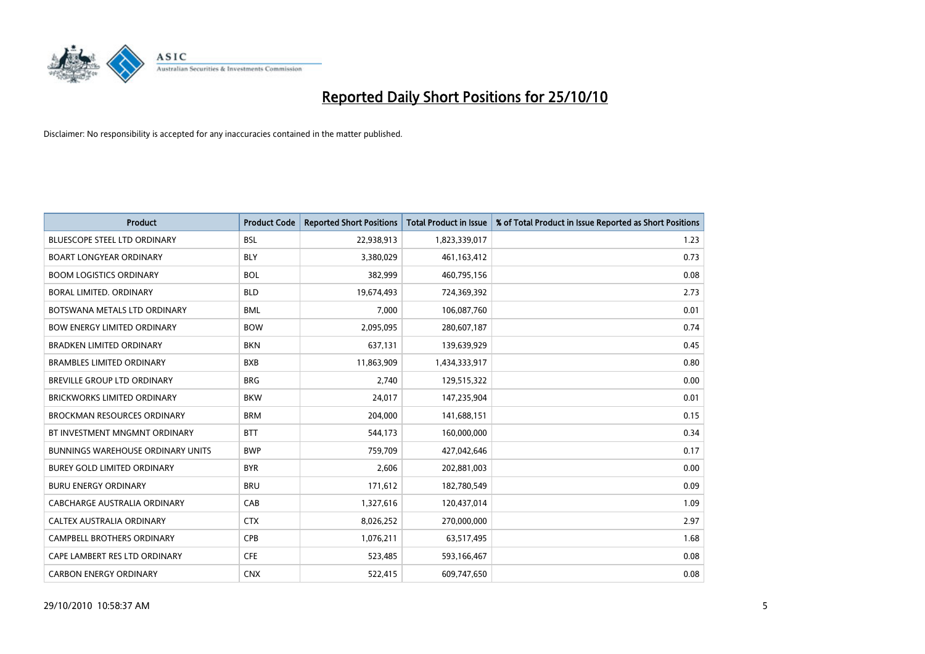

| <b>Product</b>                           | <b>Product Code</b> | <b>Reported Short Positions</b> | Total Product in Issue | % of Total Product in Issue Reported as Short Positions |
|------------------------------------------|---------------------|---------------------------------|------------------------|---------------------------------------------------------|
| <b>BLUESCOPE STEEL LTD ORDINARY</b>      | <b>BSL</b>          | 22,938,913                      | 1,823,339,017          | 1.23                                                    |
| <b>BOART LONGYEAR ORDINARY</b>           | <b>BLY</b>          | 3,380,029                       | 461,163,412            | 0.73                                                    |
| <b>BOOM LOGISTICS ORDINARY</b>           | <b>BOL</b>          | 382,999                         | 460,795,156            | 0.08                                                    |
| BORAL LIMITED. ORDINARY                  | <b>BLD</b>          | 19,674,493                      | 724,369,392            | 2.73                                                    |
| BOTSWANA METALS LTD ORDINARY             | <b>BML</b>          | 7,000                           | 106,087,760            | 0.01                                                    |
| <b>BOW ENERGY LIMITED ORDINARY</b>       | <b>BOW</b>          | 2,095,095                       | 280,607,187            | 0.74                                                    |
| <b>BRADKEN LIMITED ORDINARY</b>          | <b>BKN</b>          | 637,131                         | 139,639,929            | 0.45                                                    |
| <b>BRAMBLES LIMITED ORDINARY</b>         | <b>BXB</b>          | 11,863,909                      | 1,434,333,917          | 0.80                                                    |
| BREVILLE GROUP LTD ORDINARY              | <b>BRG</b>          | 2,740                           | 129,515,322            | 0.00                                                    |
| <b>BRICKWORKS LIMITED ORDINARY</b>       | <b>BKW</b>          | 24,017                          | 147,235,904            | 0.01                                                    |
| <b>BROCKMAN RESOURCES ORDINARY</b>       | <b>BRM</b>          | 204,000                         | 141,688,151            | 0.15                                                    |
| BT INVESTMENT MNGMNT ORDINARY            | <b>BTT</b>          | 544,173                         | 160,000,000            | 0.34                                                    |
| <b>BUNNINGS WAREHOUSE ORDINARY UNITS</b> | <b>BWP</b>          | 759,709                         | 427,042,646            | 0.17                                                    |
| <b>BUREY GOLD LIMITED ORDINARY</b>       | <b>BYR</b>          | 2,606                           | 202,881,003            | 0.00                                                    |
| <b>BURU ENERGY ORDINARY</b>              | <b>BRU</b>          | 171,612                         | 182,780,549            | 0.09                                                    |
| CABCHARGE AUSTRALIA ORDINARY             | CAB                 | 1,327,616                       | 120,437,014            | 1.09                                                    |
| CALTEX AUSTRALIA ORDINARY                | <b>CTX</b>          | 8,026,252                       | 270,000,000            | 2.97                                                    |
| CAMPBELL BROTHERS ORDINARY               | <b>CPB</b>          | 1,076,211                       | 63,517,495             | 1.68                                                    |
| CAPE LAMBERT RES LTD ORDINARY            | <b>CFE</b>          | 523,485                         | 593,166,467            | 0.08                                                    |
| <b>CARBON ENERGY ORDINARY</b>            | <b>CNX</b>          | 522,415                         | 609,747,650            | 0.08                                                    |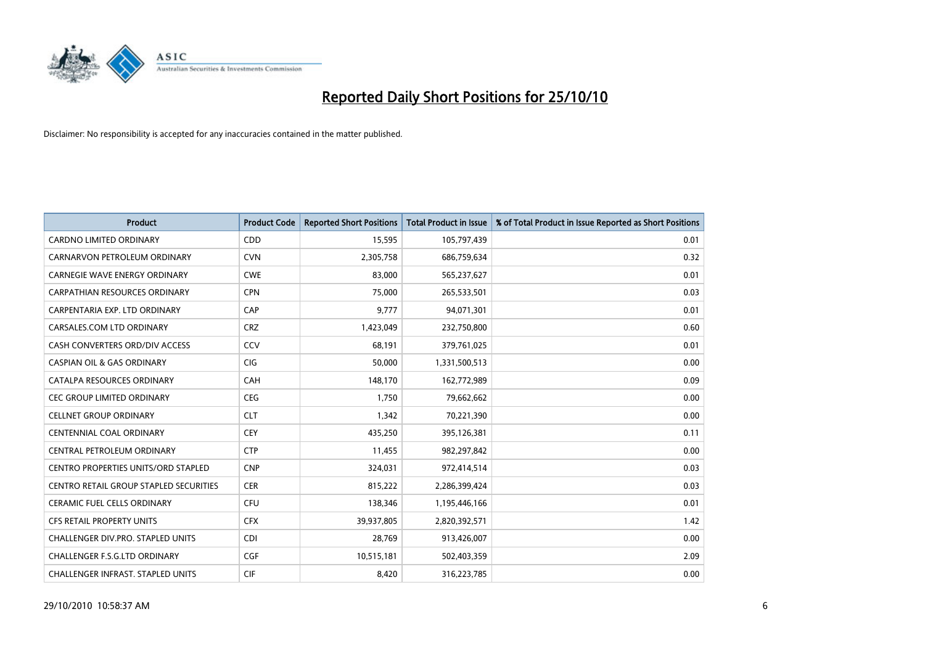

| <b>Product</b>                                | <b>Product Code</b> | <b>Reported Short Positions</b> | Total Product in Issue | % of Total Product in Issue Reported as Short Positions |
|-----------------------------------------------|---------------------|---------------------------------|------------------------|---------------------------------------------------------|
| <b>CARDNO LIMITED ORDINARY</b>                | CDD                 | 15,595                          | 105,797,439            | 0.01                                                    |
| CARNARVON PETROLEUM ORDINARY                  | <b>CVN</b>          | 2,305,758                       | 686,759,634            | 0.32                                                    |
| <b>CARNEGIE WAVE ENERGY ORDINARY</b>          | <b>CWE</b>          | 83,000                          | 565,237,627            | 0.01                                                    |
| CARPATHIAN RESOURCES ORDINARY                 | <b>CPN</b>          | 75,000                          | 265,533,501            | 0.03                                                    |
| CARPENTARIA EXP. LTD ORDINARY                 | CAP                 | 9,777                           | 94,071,301             | 0.01                                                    |
| CARSALES.COM LTD ORDINARY                     | <b>CRZ</b>          | 1,423,049                       | 232,750,800            | 0.60                                                    |
| CASH CONVERTERS ORD/DIV ACCESS                | CCV                 | 68.191                          | 379,761,025            | 0.01                                                    |
| <b>CASPIAN OIL &amp; GAS ORDINARY</b>         | <b>CIG</b>          | 50,000                          | 1,331,500,513          | 0.00                                                    |
| CATALPA RESOURCES ORDINARY                    | <b>CAH</b>          | 148,170                         | 162,772,989            | 0.09                                                    |
| <b>CEC GROUP LIMITED ORDINARY</b>             | <b>CEG</b>          | 1,750                           | 79,662,662             | 0.00                                                    |
| CELLNET GROUP ORDINARY                        | <b>CLT</b>          | 1,342                           | 70,221,390             | 0.00                                                    |
| <b>CENTENNIAL COAL ORDINARY</b>               | <b>CEY</b>          | 435,250                         | 395,126,381            | 0.11                                                    |
| CENTRAL PETROLEUM ORDINARY                    | <b>CTP</b>          | 11,455                          | 982,297,842            | 0.00                                                    |
| <b>CENTRO PROPERTIES UNITS/ORD STAPLED</b>    | <b>CNP</b>          | 324,031                         | 972,414,514            | 0.03                                                    |
| <b>CENTRO RETAIL GROUP STAPLED SECURITIES</b> | <b>CER</b>          | 815,222                         | 2,286,399,424          | 0.03                                                    |
| CERAMIC FUEL CELLS ORDINARY                   | <b>CFU</b>          | 138,346                         | 1,195,446,166          | 0.01                                                    |
| <b>CFS RETAIL PROPERTY UNITS</b>              | <b>CFX</b>          | 39,937,805                      | 2,820,392,571          | 1.42                                                    |
| CHALLENGER DIV.PRO. STAPLED UNITS             | <b>CDI</b>          | 28,769                          | 913,426,007            | 0.00                                                    |
| <b>CHALLENGER F.S.G.LTD ORDINARY</b>          | <b>CGF</b>          | 10,515,181                      | 502,403,359            | 2.09                                                    |
| <b>CHALLENGER INFRAST, STAPLED UNITS</b>      | <b>CIF</b>          | 8,420                           | 316,223,785            | 0.00                                                    |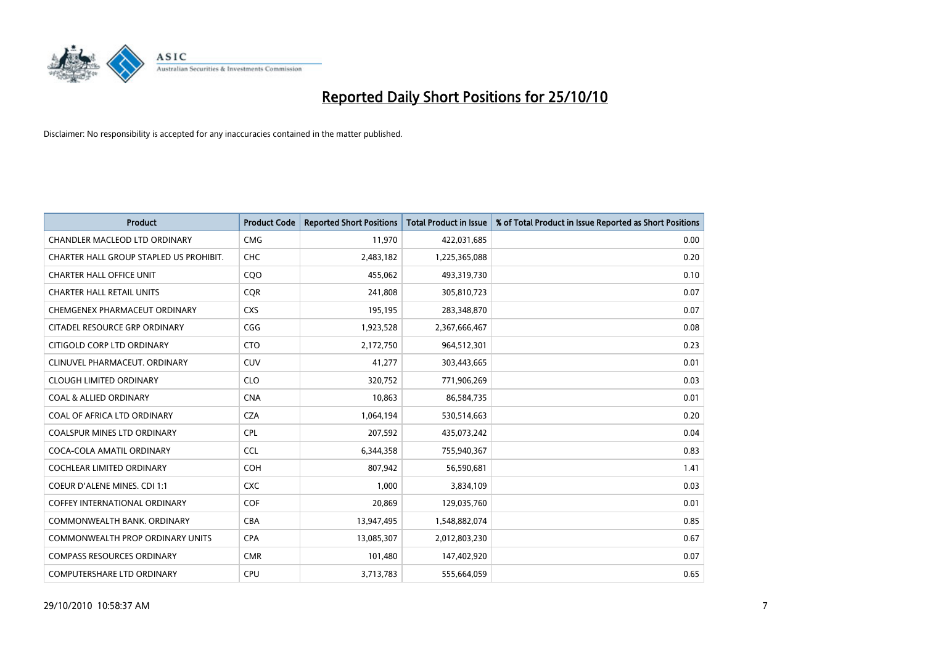

| <b>Product</b>                          | <b>Product Code</b> | <b>Reported Short Positions</b> | Total Product in Issue | % of Total Product in Issue Reported as Short Positions |
|-----------------------------------------|---------------------|---------------------------------|------------------------|---------------------------------------------------------|
| <b>CHANDLER MACLEOD LTD ORDINARY</b>    | <b>CMG</b>          | 11,970                          | 422,031,685            | 0.00                                                    |
| CHARTER HALL GROUP STAPLED US PROHIBIT. | <b>CHC</b>          | 2,483,182                       | 1,225,365,088          | 0.20                                                    |
| <b>CHARTER HALL OFFICE UNIT</b>         | CQO                 | 455,062                         | 493,319,730            | 0.10                                                    |
| <b>CHARTER HALL RETAIL UNITS</b>        | <b>COR</b>          | 241,808                         | 305,810,723            | 0.07                                                    |
| CHEMGENEX PHARMACEUT ORDINARY           | <b>CXS</b>          | 195,195                         | 283,348,870            | 0.07                                                    |
| CITADEL RESOURCE GRP ORDINARY           | CGG                 | 1,923,528                       | 2,367,666,467          | 0.08                                                    |
| CITIGOLD CORP LTD ORDINARY              | <b>CTO</b>          | 2,172,750                       | 964,512,301            | 0.23                                                    |
| CLINUVEL PHARMACEUT. ORDINARY           | <b>CUV</b>          | 41,277                          | 303,443,665            | 0.01                                                    |
| <b>CLOUGH LIMITED ORDINARY</b>          | <b>CLO</b>          | 320,752                         | 771,906,269            | 0.03                                                    |
| <b>COAL &amp; ALLIED ORDINARY</b>       | <b>CNA</b>          | 10.863                          | 86,584,735             | 0.01                                                    |
| COAL OF AFRICA LTD ORDINARY             | CZA                 | 1,064,194                       | 530,514,663            | 0.20                                                    |
| <b>COALSPUR MINES LTD ORDINARY</b>      | <b>CPL</b>          | 207,592                         | 435,073,242            | 0.04                                                    |
| COCA-COLA AMATIL ORDINARY               | <b>CCL</b>          | 6,344,358                       | 755,940,367            | 0.83                                                    |
| <b>COCHLEAR LIMITED ORDINARY</b>        | <b>COH</b>          | 807.942                         | 56,590,681             | 1.41                                                    |
| <b>COEUR D'ALENE MINES. CDI 1:1</b>     | <b>CXC</b>          | 1,000                           | 3,834,109              | 0.03                                                    |
| <b>COFFEY INTERNATIONAL ORDINARY</b>    | <b>COF</b>          | 20.869                          | 129,035,760            | 0.01                                                    |
| COMMONWEALTH BANK, ORDINARY             | <b>CBA</b>          | 13,947,495                      | 1,548,882,074          | 0.85                                                    |
| COMMONWEALTH PROP ORDINARY UNITS        | <b>CPA</b>          | 13,085,307                      | 2,012,803,230          | 0.67                                                    |
| <b>COMPASS RESOURCES ORDINARY</b>       | <b>CMR</b>          | 101,480                         | 147,402,920            | 0.07                                                    |
| <b>COMPUTERSHARE LTD ORDINARY</b>       | <b>CPU</b>          | 3,713,783                       | 555,664,059            | 0.65                                                    |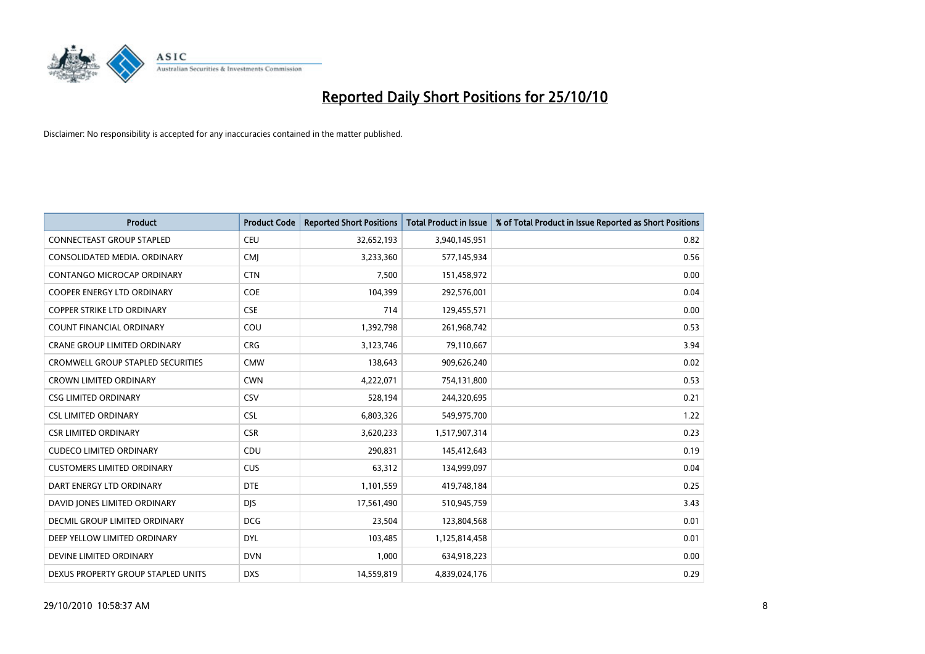

| <b>Product</b>                      | <b>Product Code</b> | <b>Reported Short Positions</b> | Total Product in Issue | % of Total Product in Issue Reported as Short Positions |
|-------------------------------------|---------------------|---------------------------------|------------------------|---------------------------------------------------------|
| <b>CONNECTEAST GROUP STAPLED</b>    | CEU                 | 32,652,193                      | 3,940,145,951          | 0.82                                                    |
| CONSOLIDATED MEDIA. ORDINARY        | <b>CMI</b>          | 3,233,360                       | 577,145,934            | 0.56                                                    |
| <b>CONTANGO MICROCAP ORDINARY</b>   | <b>CTN</b>          | 7,500                           | 151,458,972            | 0.00                                                    |
| COOPER ENERGY LTD ORDINARY          | <b>COE</b>          | 104,399                         | 292,576,001            | 0.04                                                    |
| <b>COPPER STRIKE LTD ORDINARY</b>   | <b>CSE</b>          | 714                             | 129,455,571            | 0.00                                                    |
| <b>COUNT FINANCIAL ORDINARY</b>     | COU                 | 1,392,798                       | 261,968,742            | 0.53                                                    |
| <b>CRANE GROUP LIMITED ORDINARY</b> | <b>CRG</b>          | 3,123,746                       | 79,110,667             | 3.94                                                    |
| CROMWELL GROUP STAPLED SECURITIES   | <b>CMW</b>          | 138,643                         | 909,626,240            | 0.02                                                    |
| <b>CROWN LIMITED ORDINARY</b>       | <b>CWN</b>          | 4,222,071                       | 754,131,800            | 0.53                                                    |
| <b>CSG LIMITED ORDINARY</b>         | CSV                 | 528,194                         | 244,320,695            | 0.21                                                    |
| <b>CSL LIMITED ORDINARY</b>         | <b>CSL</b>          | 6,803,326                       | 549,975,700            | 1.22                                                    |
| <b>CSR LIMITED ORDINARY</b>         | <b>CSR</b>          | 3,620,233                       | 1,517,907,314          | 0.23                                                    |
| <b>CUDECO LIMITED ORDINARY</b>      | CDU                 | 290,831                         | 145,412,643            | 0.19                                                    |
| <b>CUSTOMERS LIMITED ORDINARY</b>   | CUS                 | 63,312                          | 134,999,097            | 0.04                                                    |
| DART ENERGY LTD ORDINARY            | <b>DTE</b>          | 1,101,559                       | 419,748,184            | 0.25                                                    |
| DAVID JONES LIMITED ORDINARY        | <b>DIS</b>          | 17,561,490                      | 510,945,759            | 3.43                                                    |
| DECMIL GROUP LIMITED ORDINARY       | <b>DCG</b>          | 23,504                          | 123,804,568            | 0.01                                                    |
| DEEP YELLOW LIMITED ORDINARY        | <b>DYL</b>          | 103,485                         | 1,125,814,458          | 0.01                                                    |
| DEVINE LIMITED ORDINARY             | <b>DVN</b>          | 1,000                           | 634,918,223            | 0.00                                                    |
| DEXUS PROPERTY GROUP STAPLED UNITS  | <b>DXS</b>          | 14,559,819                      | 4,839,024,176          | 0.29                                                    |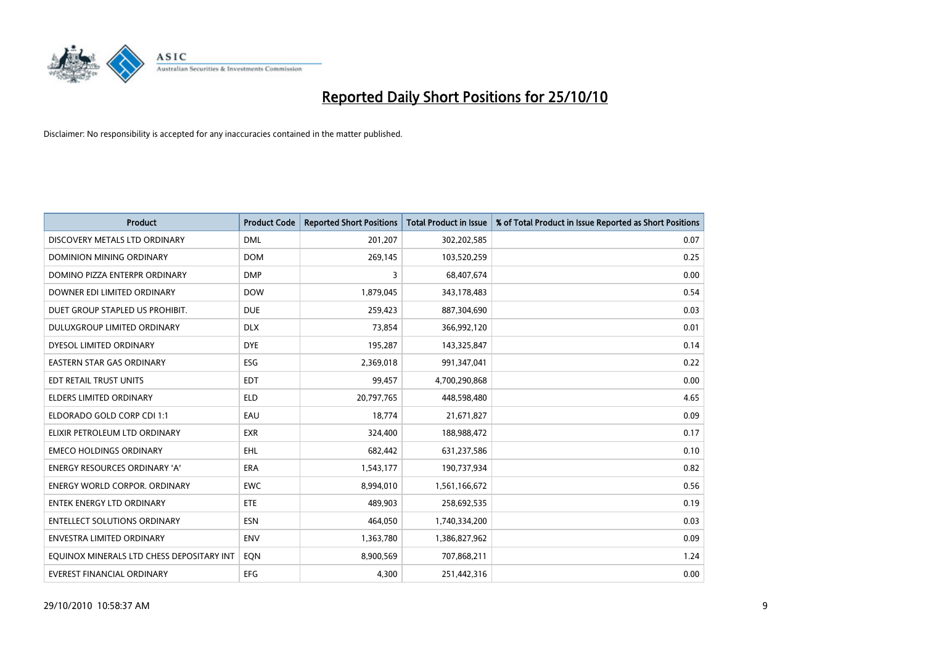

| <b>Product</b>                            | <b>Product Code</b> | <b>Reported Short Positions</b> | <b>Total Product in Issue</b> | % of Total Product in Issue Reported as Short Positions |
|-------------------------------------------|---------------------|---------------------------------|-------------------------------|---------------------------------------------------------|
| DISCOVERY METALS LTD ORDINARY             | <b>DML</b>          | 201,207                         | 302,202,585                   | 0.07                                                    |
| <b>DOMINION MINING ORDINARY</b>           | <b>DOM</b>          | 269,145                         | 103,520,259                   | 0.25                                                    |
| DOMINO PIZZA ENTERPR ORDINARY             | <b>DMP</b>          | 3                               | 68,407,674                    | 0.00                                                    |
| DOWNER EDI LIMITED ORDINARY               | <b>DOW</b>          | 1,879,045                       | 343,178,483                   | 0.54                                                    |
| DUET GROUP STAPLED US PROHIBIT.           | <b>DUE</b>          | 259,423                         | 887,304,690                   | 0.03                                                    |
| DULUXGROUP LIMITED ORDINARY               | <b>DLX</b>          | 73,854                          | 366,992,120                   | 0.01                                                    |
| DYESOL LIMITED ORDINARY                   | <b>DYE</b>          | 195,287                         | 143,325,847                   | 0.14                                                    |
| <b>EASTERN STAR GAS ORDINARY</b>          | <b>ESG</b>          | 2,369,018                       | 991,347,041                   | 0.22                                                    |
| EDT RETAIL TRUST UNITS                    | <b>EDT</b>          | 99.457                          | 4,700,290,868                 | 0.00                                                    |
| <b>ELDERS LIMITED ORDINARY</b>            | <b>ELD</b>          | 20,797,765                      | 448,598,480                   | 4.65                                                    |
| ELDORADO GOLD CORP CDI 1:1                | EAU                 | 18,774                          | 21,671,827                    | 0.09                                                    |
| ELIXIR PETROLEUM LTD ORDINARY             | <b>EXR</b>          | 324,400                         | 188,988,472                   | 0.17                                                    |
| <b>EMECO HOLDINGS ORDINARY</b>            | <b>EHL</b>          | 682,442                         | 631,237,586                   | 0.10                                                    |
| <b>ENERGY RESOURCES ORDINARY 'A'</b>      | <b>ERA</b>          | 1,543,177                       | 190,737,934                   | 0.82                                                    |
| <b>ENERGY WORLD CORPOR, ORDINARY</b>      | <b>EWC</b>          | 8,994,010                       | 1,561,166,672                 | 0.56                                                    |
| ENTEK ENERGY LTD ORDINARY                 | <b>ETE</b>          | 489,903                         | 258,692,535                   | 0.19                                                    |
| <b>ENTELLECT SOLUTIONS ORDINARY</b>       | <b>ESN</b>          | 464,050                         | 1,740,334,200                 | 0.03                                                    |
| <b>ENVESTRA LIMITED ORDINARY</b>          | <b>ENV</b>          | 1,363,780                       | 1,386,827,962                 | 0.09                                                    |
| EQUINOX MINERALS LTD CHESS DEPOSITARY INT | EON                 | 8,900,569                       | 707,868,211                   | 1.24                                                    |
| EVEREST FINANCIAL ORDINARY                | <b>EFG</b>          | 4.300                           | 251,442,316                   | 0.00                                                    |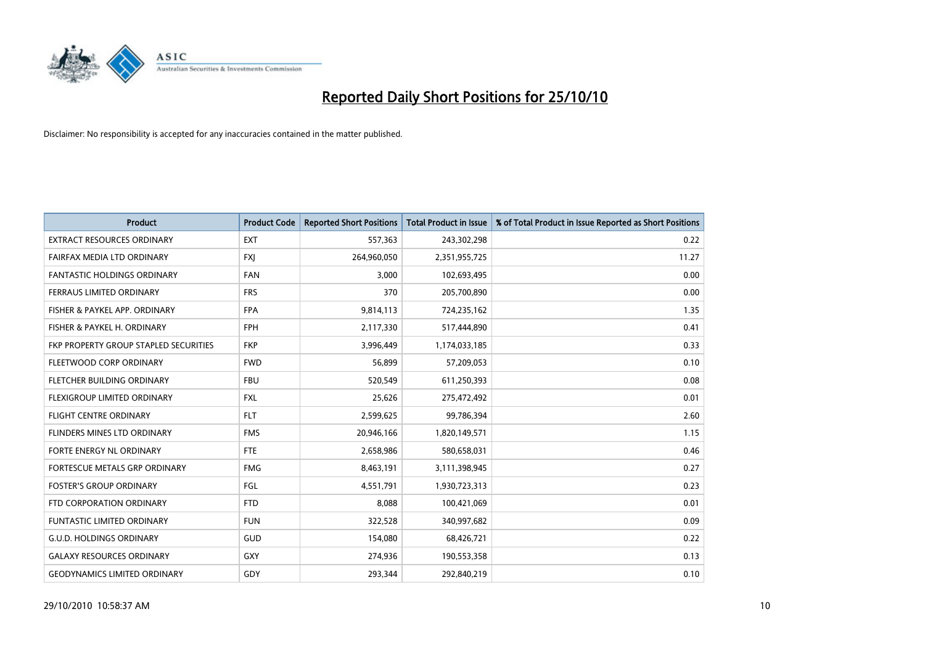

| <b>Product</b>                        | <b>Product Code</b> | <b>Reported Short Positions</b> | <b>Total Product in Issue</b> | % of Total Product in Issue Reported as Short Positions |
|---------------------------------------|---------------------|---------------------------------|-------------------------------|---------------------------------------------------------|
| <b>EXTRACT RESOURCES ORDINARY</b>     | <b>EXT</b>          | 557,363                         | 243,302,298                   | 0.22                                                    |
| FAIRFAX MEDIA LTD ORDINARY            | <b>FXI</b>          | 264,960,050                     | 2,351,955,725                 | 11.27                                                   |
| <b>FANTASTIC HOLDINGS ORDINARY</b>    | <b>FAN</b>          | 3,000                           | 102,693,495                   | 0.00                                                    |
| FERRAUS LIMITED ORDINARY              | <b>FRS</b>          | 370                             | 205,700,890                   | 0.00                                                    |
| FISHER & PAYKEL APP. ORDINARY         | <b>FPA</b>          | 9,814,113                       | 724,235,162                   | 1.35                                                    |
| FISHER & PAYKEL H. ORDINARY           | <b>FPH</b>          | 2,117,330                       | 517,444,890                   | 0.41                                                    |
| FKP PROPERTY GROUP STAPLED SECURITIES | <b>FKP</b>          | 3,996,449                       | 1,174,033,185                 | 0.33                                                    |
| FLEETWOOD CORP ORDINARY               | <b>FWD</b>          | 56,899                          | 57,209,053                    | 0.10                                                    |
| FLETCHER BUILDING ORDINARY            | <b>FBU</b>          | 520,549                         | 611,250,393                   | 0.08                                                    |
| FLEXIGROUP LIMITED ORDINARY           | <b>FXL</b>          | 25,626                          | 275,472,492                   | 0.01                                                    |
| <b>FLIGHT CENTRE ORDINARY</b>         | <b>FLT</b>          | 2,599,625                       | 99,786,394                    | 2.60                                                    |
| <b>FLINDERS MINES LTD ORDINARY</b>    | <b>FMS</b>          | 20,946,166                      | 1,820,149,571                 | 1.15                                                    |
| FORTE ENERGY NL ORDINARY              | <b>FTE</b>          | 2,658,986                       | 580,658,031                   | 0.46                                                    |
| FORTESCUE METALS GRP ORDINARY         | <b>FMG</b>          | 8,463,191                       | 3,111,398,945                 | 0.27                                                    |
| <b>FOSTER'S GROUP ORDINARY</b>        | <b>FGL</b>          | 4,551,791                       | 1,930,723,313                 | 0.23                                                    |
| FTD CORPORATION ORDINARY              | <b>FTD</b>          | 8,088                           | 100,421,069                   | 0.01                                                    |
| <b>FUNTASTIC LIMITED ORDINARY</b>     | <b>FUN</b>          | 322,528                         | 340,997,682                   | 0.09                                                    |
| <b>G.U.D. HOLDINGS ORDINARY</b>       | GUD                 | 154,080                         | 68,426,721                    | 0.22                                                    |
| <b>GALAXY RESOURCES ORDINARY</b>      | <b>GXY</b>          | 274,936                         | 190,553,358                   | 0.13                                                    |
| <b>GEODYNAMICS LIMITED ORDINARY</b>   | GDY                 | 293,344                         | 292,840,219                   | 0.10                                                    |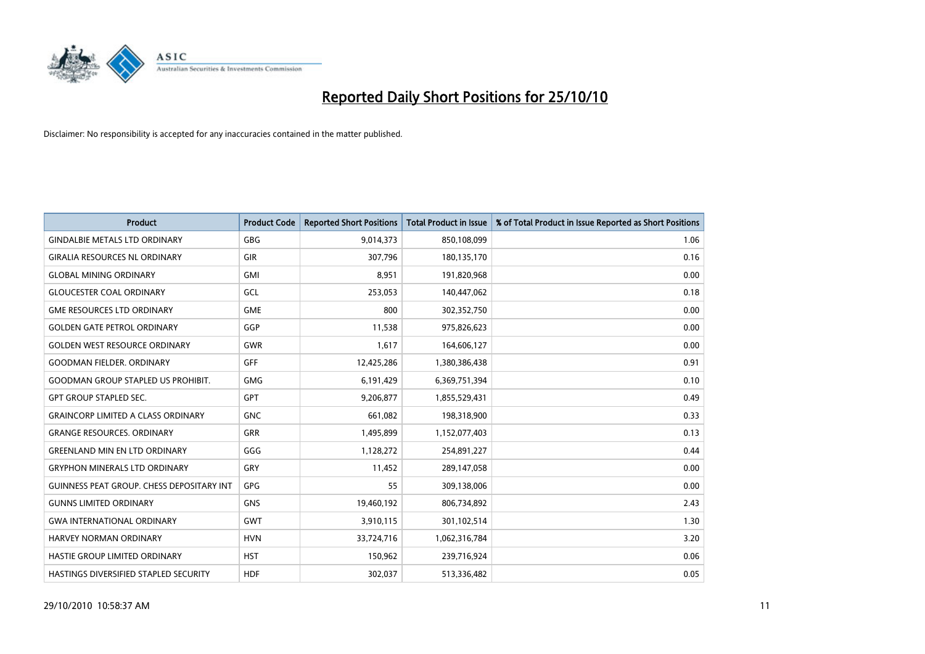

| <b>Product</b>                                   | <b>Product Code</b> | <b>Reported Short Positions</b> | <b>Total Product in Issue</b> | % of Total Product in Issue Reported as Short Positions |
|--------------------------------------------------|---------------------|---------------------------------|-------------------------------|---------------------------------------------------------|
| <b>GINDALBIE METALS LTD ORDINARY</b>             | <b>GBG</b>          | 9,014,373                       | 850,108,099                   | 1.06                                                    |
| <b>GIRALIA RESOURCES NL ORDINARY</b>             | <b>GIR</b>          | 307,796                         | 180,135,170                   | 0.16                                                    |
| <b>GLOBAL MINING ORDINARY</b>                    | <b>GMI</b>          | 8,951                           | 191,820,968                   | 0.00                                                    |
| <b>GLOUCESTER COAL ORDINARY</b>                  | GCL                 | 253,053                         | 140,447,062                   | 0.18                                                    |
| <b>GME RESOURCES LTD ORDINARY</b>                | <b>GME</b>          | 800                             | 302,352,750                   | 0.00                                                    |
| <b>GOLDEN GATE PETROL ORDINARY</b>               | GGP                 | 11,538                          | 975,826,623                   | 0.00                                                    |
| <b>GOLDEN WEST RESOURCE ORDINARY</b>             | <b>GWR</b>          | 1,617                           | 164,606,127                   | 0.00                                                    |
| <b>GOODMAN FIELDER, ORDINARY</b>                 | <b>GFF</b>          | 12,425,286                      | 1,380,386,438                 | 0.91                                                    |
| <b>GOODMAN GROUP STAPLED US PROHIBIT.</b>        | <b>GMG</b>          | 6,191,429                       | 6,369,751,394                 | 0.10                                                    |
| <b>GPT GROUP STAPLED SEC.</b>                    | <b>GPT</b>          | 9,206,877                       | 1,855,529,431                 | 0.49                                                    |
| <b>GRAINCORP LIMITED A CLASS ORDINARY</b>        | <b>GNC</b>          | 661,082                         | 198,318,900                   | 0.33                                                    |
| <b>GRANGE RESOURCES. ORDINARY</b>                | <b>GRR</b>          | 1,495,899                       | 1,152,077,403                 | 0.13                                                    |
| <b>GREENLAND MIN EN LTD ORDINARY</b>             | GGG                 | 1,128,272                       | 254,891,227                   | 0.44                                                    |
| <b>GRYPHON MINERALS LTD ORDINARY</b>             | GRY                 | 11,452                          | 289,147,058                   | 0.00                                                    |
| <b>GUINNESS PEAT GROUP. CHESS DEPOSITARY INT</b> | GPG                 | 55                              | 309,138,006                   | 0.00                                                    |
| <b>GUNNS LIMITED ORDINARY</b>                    | <b>GNS</b>          | 19,460,192                      | 806,734,892                   | 2.43                                                    |
| <b>GWA INTERNATIONAL ORDINARY</b>                | GWT                 | 3,910,115                       | 301,102,514                   | 1.30                                                    |
| HARVEY NORMAN ORDINARY                           | <b>HVN</b>          | 33,724,716                      | 1,062,316,784                 | 3.20                                                    |
| HASTIE GROUP LIMITED ORDINARY                    | <b>HST</b>          | 150,962                         | 239,716,924                   | 0.06                                                    |
| <b>HASTINGS DIVERSIFIED STAPLED SECURITY</b>     | <b>HDF</b>          | 302.037                         | 513,336,482                   | 0.05                                                    |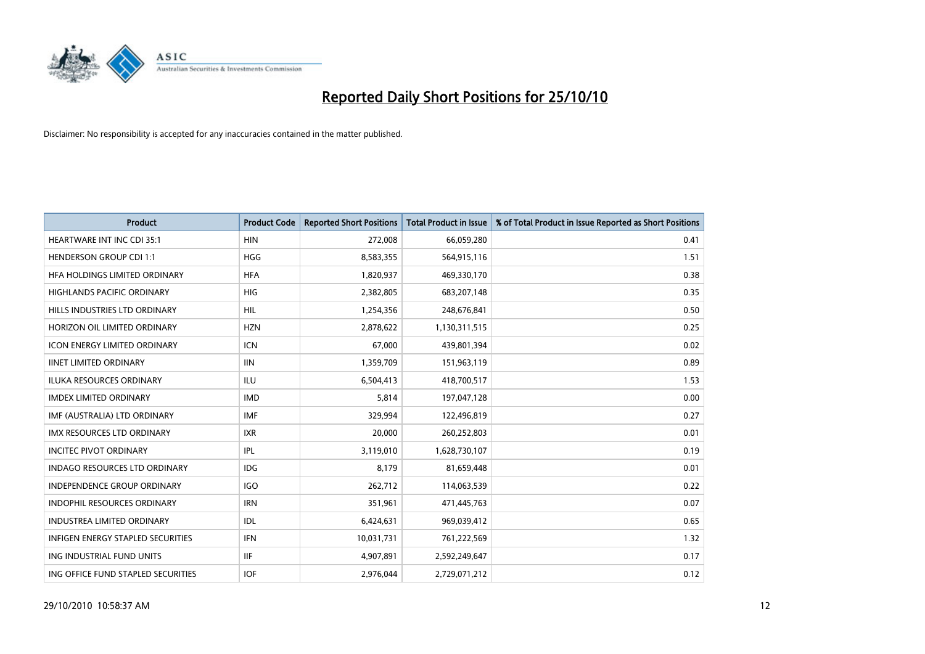

| <b>Product</b>                      | <b>Product Code</b> | <b>Reported Short Positions</b> | Total Product in Issue | % of Total Product in Issue Reported as Short Positions |
|-------------------------------------|---------------------|---------------------------------|------------------------|---------------------------------------------------------|
| <b>HEARTWARE INT INC CDI 35:1</b>   | <b>HIN</b>          | 272,008                         | 66,059,280             | 0.41                                                    |
| <b>HENDERSON GROUP CDI 1:1</b>      | <b>HGG</b>          | 8,583,355                       | 564,915,116            | 1.51                                                    |
| HFA HOLDINGS LIMITED ORDINARY       | <b>HFA</b>          | 1,820,937                       | 469,330,170            | 0.38                                                    |
| HIGHLANDS PACIFIC ORDINARY          | <b>HIG</b>          | 2,382,805                       | 683,207,148            | 0.35                                                    |
| HILLS INDUSTRIES LTD ORDINARY       | <b>HIL</b>          | 1,254,356                       | 248,676,841            | 0.50                                                    |
| HORIZON OIL LIMITED ORDINARY        | <b>HZN</b>          | 2,878,622                       | 1,130,311,515          | 0.25                                                    |
| <b>ICON ENERGY LIMITED ORDINARY</b> | <b>ICN</b>          | 67,000                          | 439,801,394            | 0.02                                                    |
| <b>IINET LIMITED ORDINARY</b>       | <b>IIN</b>          | 1,359,709                       | 151,963,119            | 0.89                                                    |
| ILUKA RESOURCES ORDINARY            | ILU                 | 6,504,413                       | 418,700,517            | 1.53                                                    |
| <b>IMDEX LIMITED ORDINARY</b>       | <b>IMD</b>          | 5,814                           | 197,047,128            | 0.00                                                    |
| IMF (AUSTRALIA) LTD ORDINARY        | <b>IMF</b>          | 329,994                         | 122,496,819            | 0.27                                                    |
| <b>IMX RESOURCES LTD ORDINARY</b>   | <b>IXR</b>          | 20,000                          | 260,252,803            | 0.01                                                    |
| <b>INCITEC PIVOT ORDINARY</b>       | <b>IPL</b>          | 3,119,010                       | 1,628,730,107          | 0.19                                                    |
| INDAGO RESOURCES LTD ORDINARY       | <b>IDG</b>          | 8,179                           | 81,659,448             | 0.01                                                    |
| <b>INDEPENDENCE GROUP ORDINARY</b>  | <b>IGO</b>          | 262,712                         | 114,063,539            | 0.22                                                    |
| INDOPHIL RESOURCES ORDINARY         | <b>IRN</b>          | 351,961                         | 471,445,763            | 0.07                                                    |
| <b>INDUSTREA LIMITED ORDINARY</b>   | IDL                 | 6,424,631                       | 969,039,412            | 0.65                                                    |
| INFIGEN ENERGY STAPLED SECURITIES   | <b>IFN</b>          | 10,031,731                      | 761,222,569            | 1.32                                                    |
| ING INDUSTRIAL FUND UNITS           | <b>IIF</b>          | 4,907,891                       | 2,592,249,647          | 0.17                                                    |
| ING OFFICE FUND STAPLED SECURITIES  | <b>IOF</b>          | 2.976.044                       | 2,729,071,212          | 0.12                                                    |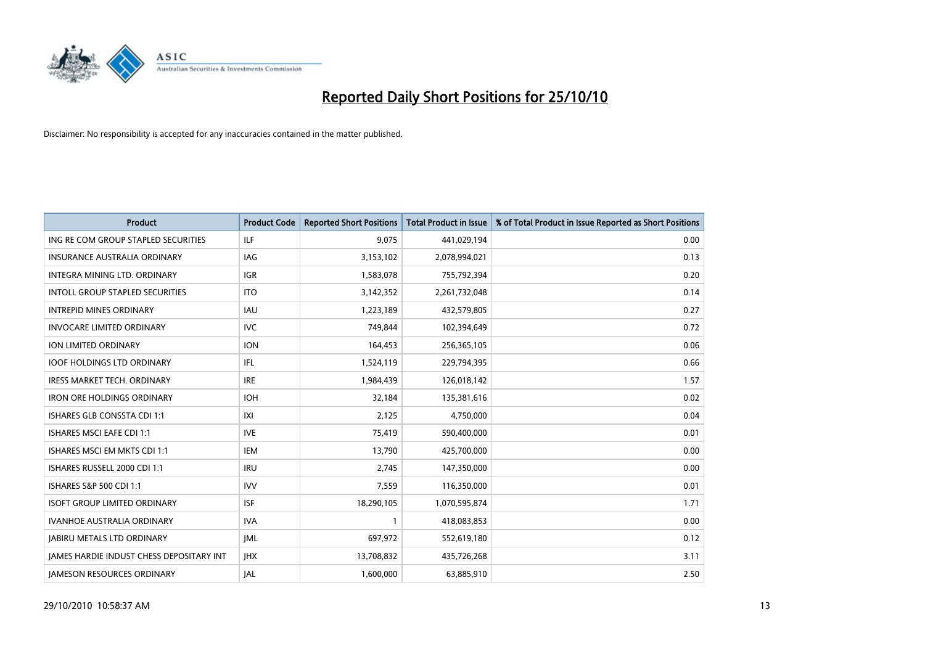

| <b>Product</b>                                  | <b>Product Code</b> | <b>Reported Short Positions</b> | <b>Total Product in Issue</b> | % of Total Product in Issue Reported as Short Positions |
|-------------------------------------------------|---------------------|---------------------------------|-------------------------------|---------------------------------------------------------|
| ING RE COM GROUP STAPLED SECURITIES             | ILF                 | 9,075                           | 441,029,194                   | 0.00                                                    |
| INSURANCE AUSTRALIA ORDINARY                    | IAG                 | 3,153,102                       | 2,078,994,021                 | 0.13                                                    |
| INTEGRA MINING LTD, ORDINARY                    | <b>IGR</b>          | 1,583,078                       | 755,792,394                   | 0.20                                                    |
| INTOLL GROUP STAPLED SECURITIES                 | <b>ITO</b>          | 3,142,352                       | 2,261,732,048                 | 0.14                                                    |
| <b>INTREPID MINES ORDINARY</b>                  | <b>IAU</b>          | 1,223,189                       | 432,579,805                   | 0.27                                                    |
| <b>INVOCARE LIMITED ORDINARY</b>                | <b>IVC</b>          | 749,844                         | 102,394,649                   | 0.72                                                    |
| ION LIMITED ORDINARY                            | <b>ION</b>          | 164,453                         | 256,365,105                   | 0.06                                                    |
| <b>IOOF HOLDINGS LTD ORDINARY</b>               | <b>IFL</b>          | 1,524,119                       | 229,794,395                   | 0.66                                                    |
| IRESS MARKET TECH. ORDINARY                     | <b>IRE</b>          | 1,984,439                       | 126,018,142                   | 1.57                                                    |
| <b>IRON ORE HOLDINGS ORDINARY</b>               | <b>IOH</b>          | 32,184                          | 135,381,616                   | 0.02                                                    |
| ISHARES GLB CONSSTA CDI 1:1                     | X                   | 2,125                           | 4,750,000                     | 0.04                                                    |
| <b>ISHARES MSCI EAFE CDI 1:1</b>                | <b>IVE</b>          | 75,419                          | 590,400,000                   | 0.01                                                    |
| ISHARES MSCI EM MKTS CDI 1:1                    | <b>IEM</b>          | 13,790                          | 425,700,000                   | 0.00                                                    |
| ISHARES RUSSELL 2000 CDI 1:1                    | <b>IRU</b>          | 2,745                           | 147,350,000                   | 0.00                                                    |
| ISHARES S&P 500 CDI 1:1                         | <b>IVV</b>          | 7,559                           | 116,350,000                   | 0.01                                                    |
| <b>ISOFT GROUP LIMITED ORDINARY</b>             | <b>ISF</b>          | 18,290,105                      | 1,070,595,874                 | 1.71                                                    |
| <b>IVANHOE AUSTRALIA ORDINARY</b>               | <b>IVA</b>          |                                 | 418,083,853                   | 0.00                                                    |
| <b>JABIRU METALS LTD ORDINARY</b>               | <b>JML</b>          | 697,972                         | 552,619,180                   | 0.12                                                    |
| <b>IAMES HARDIE INDUST CHESS DEPOSITARY INT</b> | <b>IHX</b>          | 13,708,832                      | 435,726,268                   | 3.11                                                    |
| <b>IAMESON RESOURCES ORDINARY</b>               | <b>JAL</b>          | 1,600,000                       | 63,885,910                    | 2.50                                                    |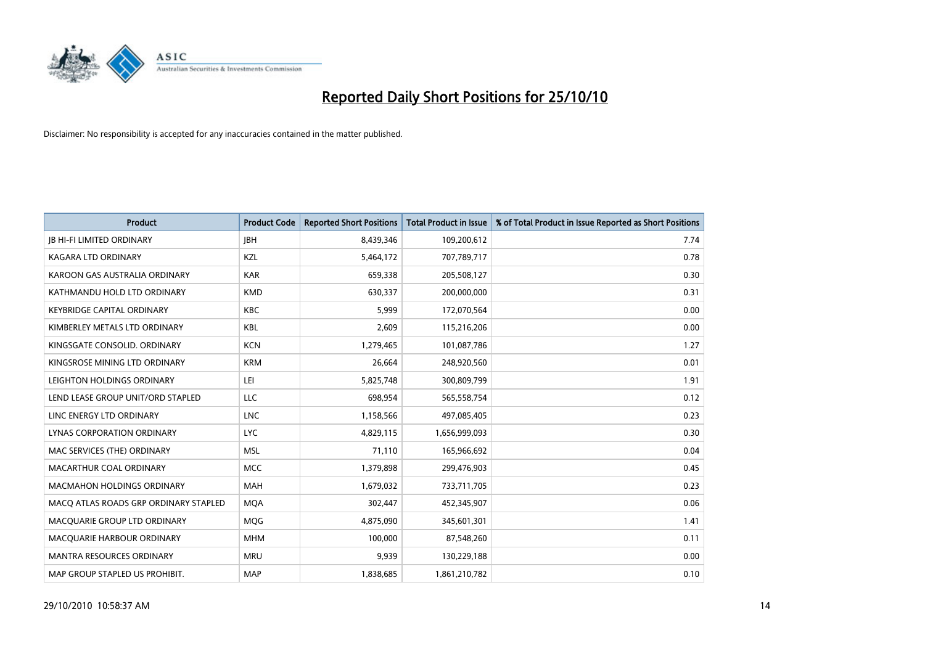

| <b>Product</b>                        | <b>Product Code</b> | <b>Reported Short Positions</b> | Total Product in Issue | % of Total Product in Issue Reported as Short Positions |
|---------------------------------------|---------------------|---------------------------------|------------------------|---------------------------------------------------------|
| <b>JB HI-FI LIMITED ORDINARY</b>      | <b>JBH</b>          | 8,439,346                       | 109,200,612            | 7.74                                                    |
| KAGARA LTD ORDINARY                   | KZL                 | 5,464,172                       | 707,789,717            | 0.78                                                    |
| KAROON GAS AUSTRALIA ORDINARY         | <b>KAR</b>          | 659,338                         | 205,508,127            | 0.30                                                    |
| KATHMANDU HOLD LTD ORDINARY           | <b>KMD</b>          | 630,337                         | 200,000,000            | 0.31                                                    |
| <b>KEYBRIDGE CAPITAL ORDINARY</b>     | <b>KBC</b>          | 5,999                           | 172,070,564            | 0.00                                                    |
| KIMBERLEY METALS LTD ORDINARY         | <b>KBL</b>          | 2,609                           | 115,216,206            | 0.00                                                    |
| KINGSGATE CONSOLID. ORDINARY          | <b>KCN</b>          | 1,279,465                       | 101,087,786            | 1.27                                                    |
| KINGSROSE MINING LTD ORDINARY         | <b>KRM</b>          | 26,664                          | 248,920,560            | 0.01                                                    |
| LEIGHTON HOLDINGS ORDINARY            | LEI                 | 5,825,748                       | 300,809,799            | 1.91                                                    |
| LEND LEASE GROUP UNIT/ORD STAPLED     | LLC                 | 698.954                         | 565,558,754            | 0.12                                                    |
| LINC ENERGY LTD ORDINARY              | <b>LNC</b>          | 1,158,566                       | 497,085,405            | 0.23                                                    |
| LYNAS CORPORATION ORDINARY            | <b>LYC</b>          | 4,829,115                       | 1,656,999,093          | 0.30                                                    |
| MAC SERVICES (THE) ORDINARY           | <b>MSL</b>          | 71,110                          | 165,966,692            | 0.04                                                    |
| MACARTHUR COAL ORDINARY               | <b>MCC</b>          | 1,379,898                       | 299,476,903            | 0.45                                                    |
| <b>MACMAHON HOLDINGS ORDINARY</b>     | <b>MAH</b>          | 1,679,032                       | 733,711,705            | 0.23                                                    |
| MACO ATLAS ROADS GRP ORDINARY STAPLED | <b>MOA</b>          | 302,447                         | 452,345,907            | 0.06                                                    |
| MACQUARIE GROUP LTD ORDINARY          | <b>MQG</b>          | 4,875,090                       | 345,601,301            | 1.41                                                    |
| MACQUARIE HARBOUR ORDINARY            | <b>MHM</b>          | 100,000                         | 87,548,260             | 0.11                                                    |
| <b>MANTRA RESOURCES ORDINARY</b>      | <b>MRU</b>          | 9,939                           | 130,229,188            | 0.00                                                    |
| MAP GROUP STAPLED US PROHIBIT.        | <b>MAP</b>          | 1,838,685                       | 1,861,210,782          | 0.10                                                    |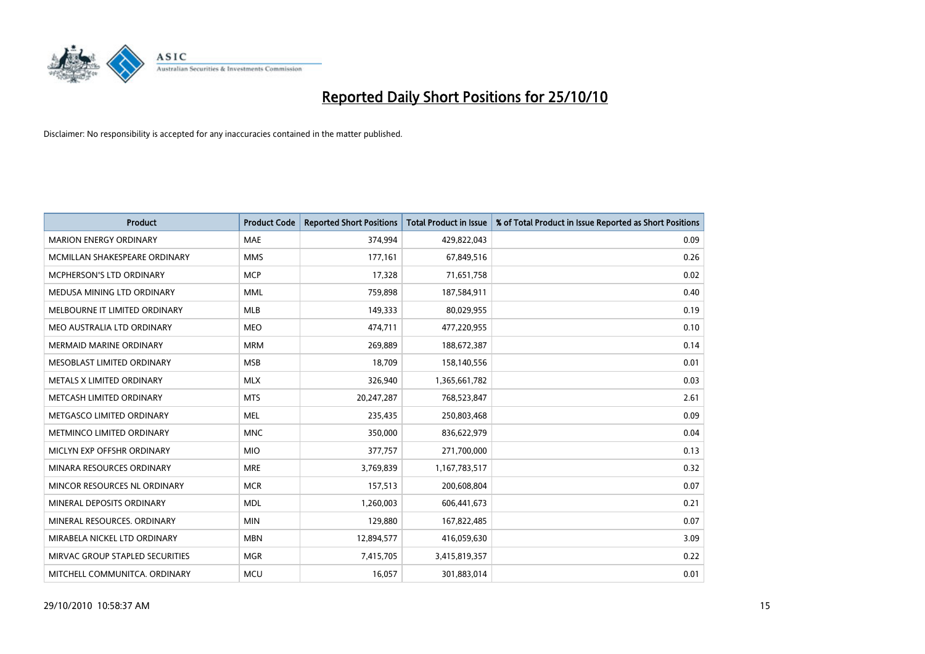

| <b>Product</b>                  | <b>Product Code</b> | <b>Reported Short Positions</b> | Total Product in Issue | % of Total Product in Issue Reported as Short Positions |
|---------------------------------|---------------------|---------------------------------|------------------------|---------------------------------------------------------|
| <b>MARION ENERGY ORDINARY</b>   | <b>MAE</b>          | 374,994                         | 429,822,043            | 0.09                                                    |
| MCMILLAN SHAKESPEARE ORDINARY   | <b>MMS</b>          | 177,161                         | 67,849,516             | 0.26                                                    |
| MCPHERSON'S LTD ORDINARY        | <b>MCP</b>          | 17,328                          | 71,651,758             | 0.02                                                    |
| MEDUSA MINING LTD ORDINARY      | <b>MML</b>          | 759,898                         | 187,584,911            | 0.40                                                    |
| MELBOURNE IT LIMITED ORDINARY   | <b>MLB</b>          | 149,333                         | 80,029,955             | 0.19                                                    |
| MEO AUSTRALIA LTD ORDINARY      | <b>MEO</b>          | 474,711                         | 477,220,955            | 0.10                                                    |
| <b>MERMAID MARINE ORDINARY</b>  | <b>MRM</b>          | 269,889                         | 188,672,387            | 0.14                                                    |
| MESOBLAST LIMITED ORDINARY      | <b>MSB</b>          | 18,709                          | 158,140,556            | 0.01                                                    |
| METALS X LIMITED ORDINARY       | <b>MLX</b>          | 326,940                         | 1,365,661,782          | 0.03                                                    |
| METCASH LIMITED ORDINARY        | <b>MTS</b>          | 20,247,287                      | 768,523,847            | 2.61                                                    |
| METGASCO LIMITED ORDINARY       | <b>MEL</b>          | 235,435                         | 250,803,468            | 0.09                                                    |
| METMINCO LIMITED ORDINARY       | <b>MNC</b>          | 350,000                         | 836,622,979            | 0.04                                                    |
| MICLYN EXP OFFSHR ORDINARY      | <b>MIO</b>          | 377,757                         | 271,700,000            | 0.13                                                    |
| MINARA RESOURCES ORDINARY       | <b>MRE</b>          | 3,769,839                       | 1,167,783,517          | 0.32                                                    |
| MINCOR RESOURCES NL ORDINARY    | <b>MCR</b>          | 157,513                         | 200,608,804            | 0.07                                                    |
| MINERAL DEPOSITS ORDINARY       | <b>MDL</b>          | 1,260,003                       | 606,441,673            | 0.21                                                    |
| MINERAL RESOURCES. ORDINARY     | <b>MIN</b>          | 129,880                         | 167,822,485            | 0.07                                                    |
| MIRABELA NICKEL LTD ORDINARY    | <b>MBN</b>          | 12,894,577                      | 416,059,630            | 3.09                                                    |
| MIRVAC GROUP STAPLED SECURITIES | <b>MGR</b>          | 7,415,705                       | 3,415,819,357          | 0.22                                                    |
| MITCHELL COMMUNITCA. ORDINARY   | <b>MCU</b>          | 16,057                          | 301,883,014            | 0.01                                                    |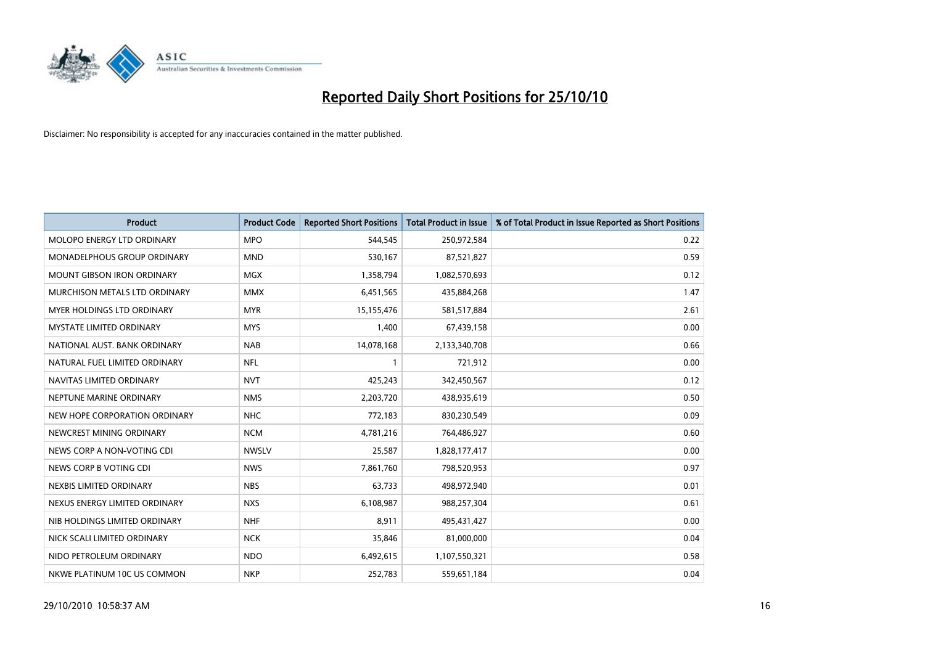

| <b>Product</b>                    | <b>Product Code</b> | <b>Reported Short Positions</b> | <b>Total Product in Issue</b> | % of Total Product in Issue Reported as Short Positions |
|-----------------------------------|---------------------|---------------------------------|-------------------------------|---------------------------------------------------------|
| <b>MOLOPO ENERGY LTD ORDINARY</b> | <b>MPO</b>          | 544,545                         | 250,972,584                   | 0.22                                                    |
| MONADELPHOUS GROUP ORDINARY       | <b>MND</b>          | 530,167                         | 87,521,827                    | 0.59                                                    |
| <b>MOUNT GIBSON IRON ORDINARY</b> | <b>MGX</b>          | 1,358,794                       | 1,082,570,693                 | 0.12                                                    |
| MURCHISON METALS LTD ORDINARY     | <b>MMX</b>          | 6,451,565                       | 435,884,268                   | 1.47                                                    |
| <b>MYER HOLDINGS LTD ORDINARY</b> | <b>MYR</b>          | 15,155,476                      | 581,517,884                   | 2.61                                                    |
| <b>MYSTATE LIMITED ORDINARY</b>   | <b>MYS</b>          | 1,400                           | 67,439,158                    | 0.00                                                    |
| NATIONAL AUST. BANK ORDINARY      | <b>NAB</b>          | 14,078,168                      | 2,133,340,708                 | 0.66                                                    |
| NATURAL FUEL LIMITED ORDINARY     | <b>NFL</b>          |                                 | 721,912                       | 0.00                                                    |
| NAVITAS LIMITED ORDINARY          | <b>NVT</b>          | 425,243                         | 342,450,567                   | 0.12                                                    |
| NEPTUNE MARINE ORDINARY           | <b>NMS</b>          | 2,203,720                       | 438,935,619                   | 0.50                                                    |
| NEW HOPE CORPORATION ORDINARY     | <b>NHC</b>          | 772,183                         | 830,230,549                   | 0.09                                                    |
| NEWCREST MINING ORDINARY          | <b>NCM</b>          | 4,781,216                       | 764,486,927                   | 0.60                                                    |
| NEWS CORP A NON-VOTING CDI        | <b>NWSLV</b>        | 25,587                          | 1,828,177,417                 | 0.00                                                    |
| NEWS CORP B VOTING CDI            | <b>NWS</b>          | 7,861,760                       | 798,520,953                   | 0.97                                                    |
| NEXBIS LIMITED ORDINARY           | <b>NBS</b>          | 63,733                          | 498,972,940                   | 0.01                                                    |
| NEXUS ENERGY LIMITED ORDINARY     | <b>NXS</b>          | 6,108,987                       | 988,257,304                   | 0.61                                                    |
| NIB HOLDINGS LIMITED ORDINARY     | <b>NHF</b>          | 8,911                           | 495,431,427                   | 0.00                                                    |
| NICK SCALI LIMITED ORDINARY       | <b>NCK</b>          | 35,846                          | 81,000,000                    | 0.04                                                    |
| NIDO PETROLEUM ORDINARY           | <b>NDO</b>          | 6,492,615                       | 1,107,550,321                 | 0.58                                                    |
| NKWE PLATINUM 10C US COMMON       | <b>NKP</b>          | 252,783                         | 559,651,184                   | 0.04                                                    |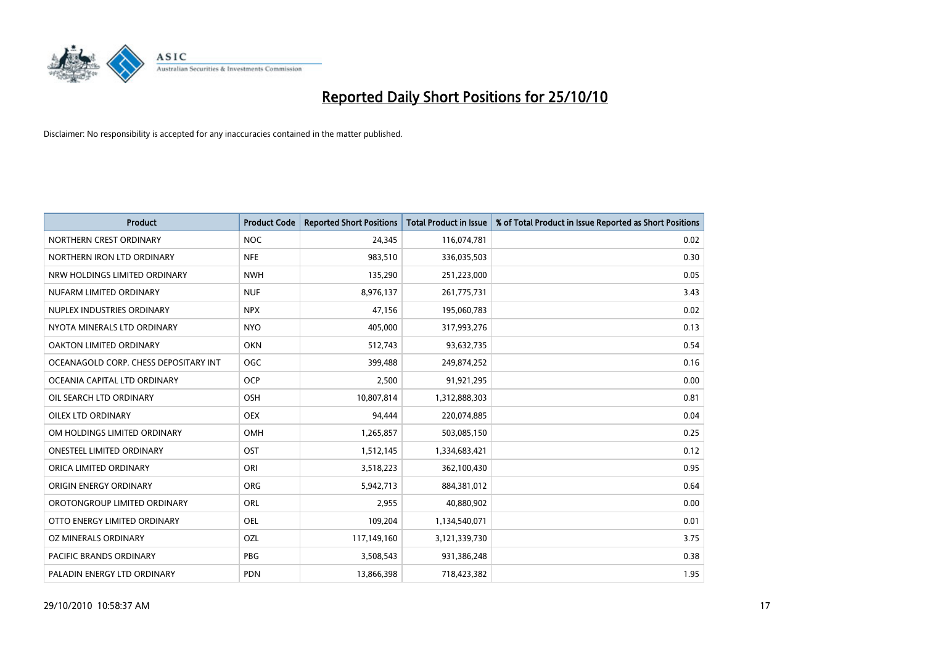

| <b>Product</b>                        | <b>Product Code</b> | <b>Reported Short Positions</b> | Total Product in Issue | % of Total Product in Issue Reported as Short Positions |
|---------------------------------------|---------------------|---------------------------------|------------------------|---------------------------------------------------------|
| NORTHERN CREST ORDINARY               | <b>NOC</b>          | 24,345                          | 116,074,781            | 0.02                                                    |
| NORTHERN IRON LTD ORDINARY            | <b>NFE</b>          | 983,510                         | 336,035,503            | 0.30                                                    |
| NRW HOLDINGS LIMITED ORDINARY         | <b>NWH</b>          | 135,290                         | 251,223,000            | 0.05                                                    |
| NUFARM LIMITED ORDINARY               | <b>NUF</b>          | 8,976,137                       | 261,775,731            | 3.43                                                    |
| NUPLEX INDUSTRIES ORDINARY            | <b>NPX</b>          | 47,156                          | 195,060,783            | 0.02                                                    |
| NYOTA MINERALS LTD ORDINARY           | <b>NYO</b>          | 405,000                         | 317,993,276            | 0.13                                                    |
| OAKTON LIMITED ORDINARY               | <b>OKN</b>          | 512,743                         | 93,632,735             | 0.54                                                    |
| OCEANAGOLD CORP. CHESS DEPOSITARY INT | <b>OGC</b>          | 399,488                         | 249,874,252            | 0.16                                                    |
| OCEANIA CAPITAL LTD ORDINARY          | <b>OCP</b>          | 2,500                           | 91,921,295             | 0.00                                                    |
| OIL SEARCH LTD ORDINARY               | <b>OSH</b>          | 10,807,814                      | 1,312,888,303          | 0.81                                                    |
| OILEX LTD ORDINARY                    | <b>OEX</b>          | 94,444                          | 220,074,885            | 0.04                                                    |
| OM HOLDINGS LIMITED ORDINARY          | <b>OMH</b>          | 1,265,857                       | 503,085,150            | 0.25                                                    |
| <b>ONESTEEL LIMITED ORDINARY</b>      | OST                 | 1,512,145                       | 1,334,683,421          | 0.12                                                    |
| ORICA LIMITED ORDINARY                | ORI                 | 3,518,223                       | 362,100,430            | 0.95                                                    |
| ORIGIN ENERGY ORDINARY                | <b>ORG</b>          | 5,942,713                       | 884,381,012            | 0.64                                                    |
| OROTONGROUP LIMITED ORDINARY          | ORL                 | 2,955                           | 40,880,902             | 0.00                                                    |
| OTTO ENERGY LIMITED ORDINARY          | <b>OEL</b>          | 109,204                         | 1,134,540,071          | 0.01                                                    |
| OZ MINERALS ORDINARY                  | OZL                 | 117,149,160                     | 3,121,339,730          | 3.75                                                    |
| <b>PACIFIC BRANDS ORDINARY</b>        | <b>PBG</b>          | 3,508,543                       | 931,386,248            | 0.38                                                    |
| PALADIN ENERGY LTD ORDINARY           | <b>PDN</b>          | 13,866,398                      | 718,423,382            | 1.95                                                    |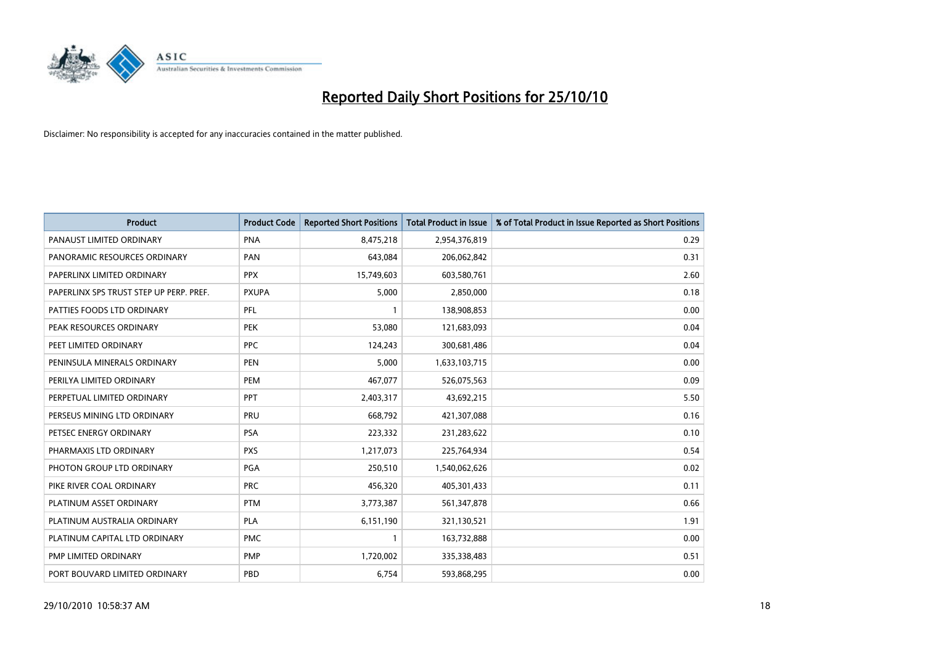

| <b>Product</b>                          | <b>Product Code</b> | <b>Reported Short Positions</b> | <b>Total Product in Issue</b> | % of Total Product in Issue Reported as Short Positions |
|-----------------------------------------|---------------------|---------------------------------|-------------------------------|---------------------------------------------------------|
| PANAUST LIMITED ORDINARY                | <b>PNA</b>          | 8,475,218                       | 2,954,376,819                 | 0.29                                                    |
| PANORAMIC RESOURCES ORDINARY            | PAN                 | 643.084                         | 206,062,842                   | 0.31                                                    |
| PAPERLINX LIMITED ORDINARY              | <b>PPX</b>          | 15,749,603                      | 603,580,761                   | 2.60                                                    |
| PAPERLINX SPS TRUST STEP UP PERP. PREF. | <b>PXUPA</b>        | 5,000                           | 2,850,000                     | 0.18                                                    |
| PATTIES FOODS LTD ORDINARY              | PFL                 |                                 | 138,908,853                   | 0.00                                                    |
| PEAK RESOURCES ORDINARY                 | <b>PEK</b>          | 53,080                          | 121,683,093                   | 0.04                                                    |
| PEET LIMITED ORDINARY                   | <b>PPC</b>          | 124,243                         | 300,681,486                   | 0.04                                                    |
| PENINSULA MINERALS ORDINARY             | <b>PEN</b>          | 5,000                           | 1,633,103,715                 | 0.00                                                    |
| PERILYA LIMITED ORDINARY                | PEM                 | 467,077                         | 526,075,563                   | 0.09                                                    |
| PERPETUAL LIMITED ORDINARY              | <b>PPT</b>          | 2,403,317                       | 43,692,215                    | 5.50                                                    |
| PERSEUS MINING LTD ORDINARY             | PRU                 | 668,792                         | 421,307,088                   | 0.16                                                    |
| PETSEC ENERGY ORDINARY                  | PSA                 | 223,332                         | 231,283,622                   | 0.10                                                    |
| PHARMAXIS LTD ORDINARY                  | <b>PXS</b>          | 1,217,073                       | 225,764,934                   | 0.54                                                    |
| PHOTON GROUP LTD ORDINARY               | <b>PGA</b>          | 250,510                         | 1,540,062,626                 | 0.02                                                    |
| PIKE RIVER COAL ORDINARY                | <b>PRC</b>          | 456,320                         | 405,301,433                   | 0.11                                                    |
| PLATINUM ASSET ORDINARY                 | <b>PTM</b>          | 3,773,387                       | 561,347,878                   | 0.66                                                    |
| PLATINUM AUSTRALIA ORDINARY             | <b>PLA</b>          | 6,151,190                       | 321,130,521                   | 1.91                                                    |
| PLATINUM CAPITAL LTD ORDINARY           | <b>PMC</b>          |                                 | 163,732,888                   | 0.00                                                    |
| PMP LIMITED ORDINARY                    | PMP                 | 1,720,002                       | 335,338,483                   | 0.51                                                    |
| PORT BOUVARD LIMITED ORDINARY           | PBD                 | 6,754                           | 593,868,295                   | 0.00                                                    |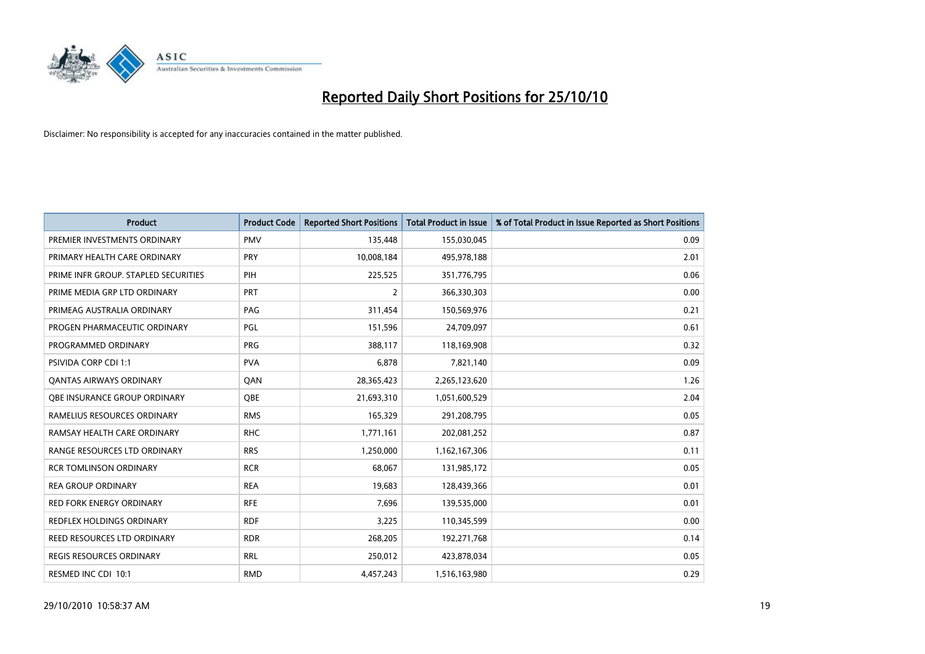

| <b>Product</b>                       | <b>Product Code</b> | <b>Reported Short Positions</b> | Total Product in Issue | % of Total Product in Issue Reported as Short Positions |
|--------------------------------------|---------------------|---------------------------------|------------------------|---------------------------------------------------------|
| PREMIER INVESTMENTS ORDINARY         | <b>PMV</b>          | 135,448                         | 155,030,045            | 0.09                                                    |
| PRIMARY HEALTH CARE ORDINARY         | <b>PRY</b>          | 10,008,184                      | 495,978,188            | 2.01                                                    |
| PRIME INFR GROUP. STAPLED SECURITIES | PIH                 | 225,525                         | 351,776,795            | 0.06                                                    |
| PRIME MEDIA GRP LTD ORDINARY         | PRT                 | $\overline{2}$                  | 366,330,303            | 0.00                                                    |
| PRIMEAG AUSTRALIA ORDINARY           | PAG                 | 311,454                         | 150,569,976            | 0.21                                                    |
| PROGEN PHARMACEUTIC ORDINARY         | PGL                 | 151,596                         | 24,709,097             | 0.61                                                    |
| PROGRAMMED ORDINARY                  | <b>PRG</b>          | 388.117                         | 118,169,908            | 0.32                                                    |
| <b>PSIVIDA CORP CDI 1:1</b>          | <b>PVA</b>          | 6,878                           | 7,821,140              | 0.09                                                    |
| <b>QANTAS AIRWAYS ORDINARY</b>       | QAN                 | 28,365,423                      | 2,265,123,620          | 1.26                                                    |
| OBE INSURANCE GROUP ORDINARY         | <b>OBE</b>          | 21,693,310                      | 1,051,600,529          | 2.04                                                    |
| RAMELIUS RESOURCES ORDINARY          | <b>RMS</b>          | 165,329                         | 291,208,795            | 0.05                                                    |
| RAMSAY HEALTH CARE ORDINARY          | <b>RHC</b>          | 1,771,161                       | 202,081,252            | 0.87                                                    |
| RANGE RESOURCES LTD ORDINARY         | <b>RRS</b>          | 1,250,000                       | 1,162,167,306          | 0.11                                                    |
| <b>RCR TOMLINSON ORDINARY</b>        | <b>RCR</b>          | 68,067                          | 131,985,172            | 0.05                                                    |
| <b>REA GROUP ORDINARY</b>            | <b>REA</b>          | 19,683                          | 128,439,366            | 0.01                                                    |
| RED FORK ENERGY ORDINARY             | <b>RFE</b>          | 7,696                           | 139,535,000            | 0.01                                                    |
| <b>REDFLEX HOLDINGS ORDINARY</b>     | <b>RDF</b>          | 3,225                           | 110,345,599            | 0.00                                                    |
| REED RESOURCES LTD ORDINARY          | <b>RDR</b>          | 268,205                         | 192,271,768            | 0.14                                                    |
| <b>REGIS RESOURCES ORDINARY</b>      | <b>RRL</b>          | 250,012                         | 423,878,034            | 0.05                                                    |
| RESMED INC CDI 10:1                  | <b>RMD</b>          | 4,457,243                       | 1,516,163,980          | 0.29                                                    |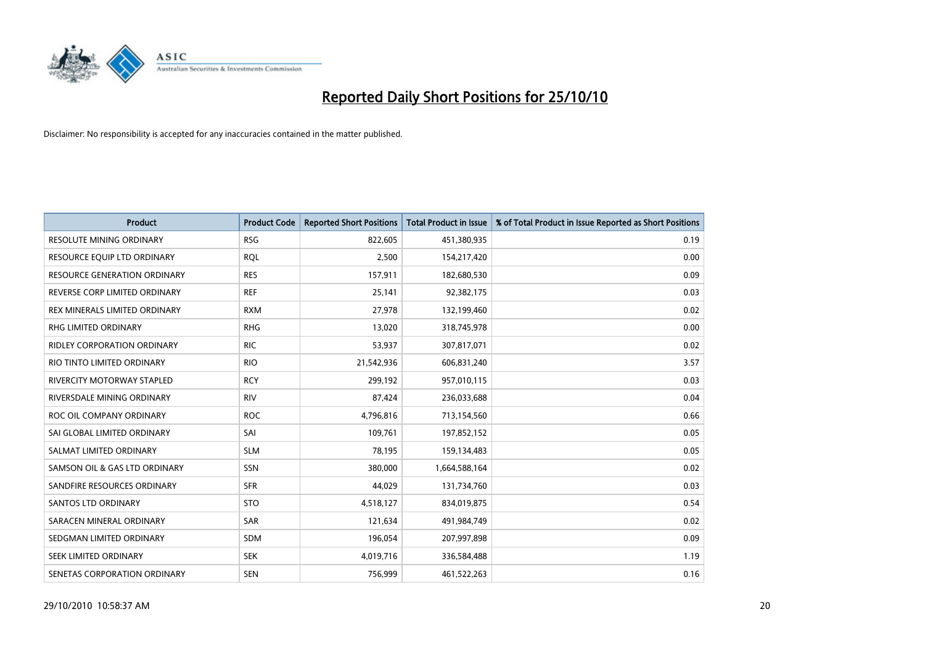

| <b>Product</b>                      | <b>Product Code</b> | <b>Reported Short Positions</b> | <b>Total Product in Issue</b> | % of Total Product in Issue Reported as Short Positions |
|-------------------------------------|---------------------|---------------------------------|-------------------------------|---------------------------------------------------------|
| <b>RESOLUTE MINING ORDINARY</b>     | <b>RSG</b>          | 822,605                         | 451,380,935                   | 0.19                                                    |
| RESOURCE EQUIP LTD ORDINARY         | <b>RQL</b>          | 2,500                           | 154,217,420                   | 0.00                                                    |
| <b>RESOURCE GENERATION ORDINARY</b> | <b>RES</b>          | 157,911                         | 182,680,530                   | 0.09                                                    |
| REVERSE CORP LIMITED ORDINARY       | <b>REF</b>          | 25,141                          | 92,382,175                    | 0.03                                                    |
| REX MINERALS LIMITED ORDINARY       | <b>RXM</b>          | 27,978                          | 132,199,460                   | 0.02                                                    |
| RHG LIMITED ORDINARY                | <b>RHG</b>          | 13,020                          | 318,745,978                   | 0.00                                                    |
| <b>RIDLEY CORPORATION ORDINARY</b>  | <b>RIC</b>          | 53,937                          | 307,817,071                   | 0.02                                                    |
| RIO TINTO LIMITED ORDINARY          | <b>RIO</b>          | 21,542,936                      | 606,831,240                   | 3.57                                                    |
| <b>RIVERCITY MOTORWAY STAPLED</b>   | <b>RCY</b>          | 299,192                         | 957,010,115                   | 0.03                                                    |
| RIVERSDALE MINING ORDINARY          | <b>RIV</b>          | 87,424                          | 236,033,688                   | 0.04                                                    |
| ROC OIL COMPANY ORDINARY            | <b>ROC</b>          | 4,796,816                       | 713,154,560                   | 0.66                                                    |
| SAI GLOBAL LIMITED ORDINARY         | SAI                 | 109,761                         | 197,852,152                   | 0.05                                                    |
| SALMAT LIMITED ORDINARY             | <b>SLM</b>          | 78,195                          | 159,134,483                   | 0.05                                                    |
| SAMSON OIL & GAS LTD ORDINARY       | SSN                 | 380,000                         | 1,664,588,164                 | 0.02                                                    |
| SANDFIRE RESOURCES ORDINARY         | <b>SFR</b>          | 44.029                          | 131,734,760                   | 0.03                                                    |
| SANTOS LTD ORDINARY                 | <b>STO</b>          | 4,518,127                       | 834,019,875                   | 0.54                                                    |
| SARACEN MINERAL ORDINARY            | <b>SAR</b>          | 121,634                         | 491,984,749                   | 0.02                                                    |
| SEDGMAN LIMITED ORDINARY            | <b>SDM</b>          | 196,054                         | 207,997,898                   | 0.09                                                    |
| SEEK LIMITED ORDINARY               | <b>SEK</b>          | 4,019,716                       | 336,584,488                   | 1.19                                                    |
| SENETAS CORPORATION ORDINARY        | <b>SEN</b>          | 756,999                         | 461,522,263                   | 0.16                                                    |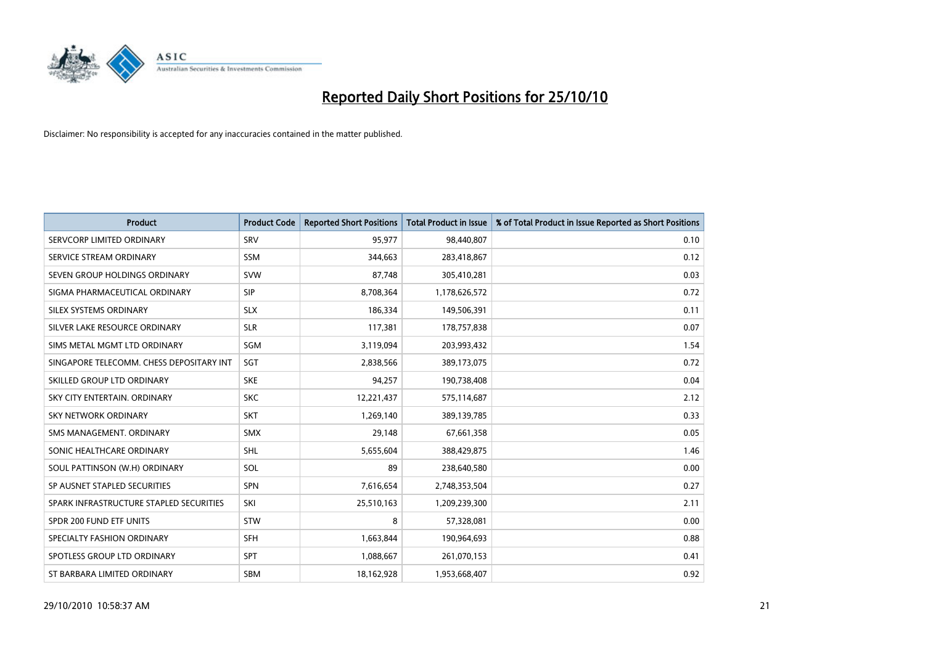

| <b>Product</b>                           | <b>Product Code</b> | <b>Reported Short Positions</b> | <b>Total Product in Issue</b> | % of Total Product in Issue Reported as Short Positions |
|------------------------------------------|---------------------|---------------------------------|-------------------------------|---------------------------------------------------------|
| SERVCORP LIMITED ORDINARY                | SRV                 | 95,977                          | 98,440,807                    | 0.10                                                    |
| SERVICE STREAM ORDINARY                  | <b>SSM</b>          | 344,663                         | 283,418,867                   | 0.12                                                    |
| SEVEN GROUP HOLDINGS ORDINARY            | <b>SVW</b>          | 87,748                          | 305,410,281                   | 0.03                                                    |
| SIGMA PHARMACEUTICAL ORDINARY            | SIP                 | 8,708,364                       | 1,178,626,572                 | 0.72                                                    |
| SILEX SYSTEMS ORDINARY                   | <b>SLX</b>          | 186,334                         | 149,506,391                   | 0.11                                                    |
| SILVER LAKE RESOURCE ORDINARY            | <b>SLR</b>          | 117,381                         | 178,757,838                   | 0.07                                                    |
| SIMS METAL MGMT LTD ORDINARY             | SGM                 | 3,119,094                       | 203,993,432                   | 1.54                                                    |
| SINGAPORE TELECOMM. CHESS DEPOSITARY INT | SGT                 | 2,838,566                       | 389,173,075                   | 0.72                                                    |
| SKILLED GROUP LTD ORDINARY               | <b>SKE</b>          | 94,257                          | 190,738,408                   | 0.04                                                    |
| SKY CITY ENTERTAIN, ORDINARY             | <b>SKC</b>          | 12,221,437                      | 575,114,687                   | 2.12                                                    |
| SKY NETWORK ORDINARY                     | <b>SKT</b>          | 1,269,140                       | 389,139,785                   | 0.33                                                    |
| SMS MANAGEMENT, ORDINARY                 | <b>SMX</b>          | 29,148                          | 67,661,358                    | 0.05                                                    |
| SONIC HEALTHCARE ORDINARY                | <b>SHL</b>          | 5,655,604                       | 388,429,875                   | 1.46                                                    |
| SOUL PATTINSON (W.H) ORDINARY            | SOL                 | 89                              | 238,640,580                   | 0.00                                                    |
| SP AUSNET STAPLED SECURITIES             | SPN                 | 7,616,654                       | 2,748,353,504                 | 0.27                                                    |
| SPARK INFRASTRUCTURE STAPLED SECURITIES  | SKI                 | 25,510,163                      | 1,209,239,300                 | 2.11                                                    |
| SPDR 200 FUND ETF UNITS                  | STW                 | 8                               | 57,328,081                    | 0.00                                                    |
| SPECIALTY FASHION ORDINARY               | <b>SFH</b>          | 1,663,844                       | 190,964,693                   | 0.88                                                    |
| SPOTLESS GROUP LTD ORDINARY              | <b>SPT</b>          | 1,088,667                       | 261,070,153                   | 0.41                                                    |
| ST BARBARA LIMITED ORDINARY              | <b>SBM</b>          | 18,162,928                      | 1,953,668,407                 | 0.92                                                    |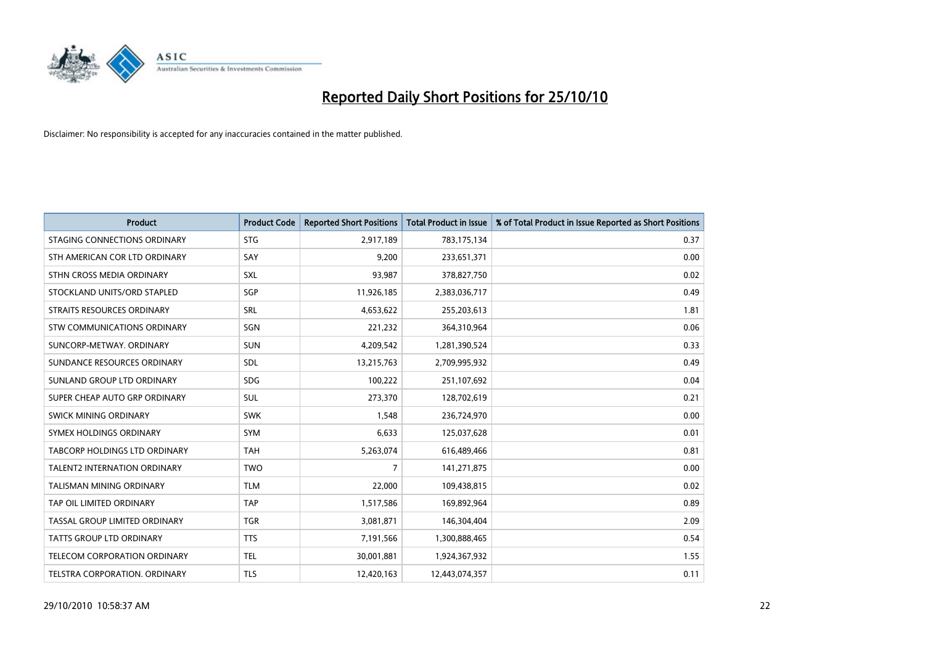

| <b>Product</b>                       | <b>Product Code</b> | <b>Reported Short Positions</b> | <b>Total Product in Issue</b> | % of Total Product in Issue Reported as Short Positions |
|--------------------------------------|---------------------|---------------------------------|-------------------------------|---------------------------------------------------------|
| STAGING CONNECTIONS ORDINARY         | <b>STG</b>          | 2,917,189                       | 783,175,134                   | 0.37                                                    |
| STH AMERICAN COR LTD ORDINARY        | SAY                 | 9,200                           | 233,651,371                   | 0.00                                                    |
| STHN CROSS MEDIA ORDINARY            | SXL                 | 93,987                          | 378,827,750                   | 0.02                                                    |
| STOCKLAND UNITS/ORD STAPLED          | SGP                 | 11,926,185                      | 2,383,036,717                 | 0.49                                                    |
| <b>STRAITS RESOURCES ORDINARY</b>    | SRL                 | 4,653,622                       | 255,203,613                   | 1.81                                                    |
| STW COMMUNICATIONS ORDINARY          | SGN                 | 221,232                         | 364,310,964                   | 0.06                                                    |
| SUNCORP-METWAY, ORDINARY             | <b>SUN</b>          | 4,209,542                       | 1,281,390,524                 | 0.33                                                    |
| SUNDANCE RESOURCES ORDINARY          | <b>SDL</b>          | 13,215,763                      | 2,709,995,932                 | 0.49                                                    |
| SUNLAND GROUP LTD ORDINARY           | <b>SDG</b>          | 100,222                         | 251,107,692                   | 0.04                                                    |
| SUPER CHEAP AUTO GRP ORDINARY        | <b>SUL</b>          | 273,370                         | 128,702,619                   | 0.21                                                    |
| SWICK MINING ORDINARY                | <b>SWK</b>          | 1,548                           | 236,724,970                   | 0.00                                                    |
| SYMEX HOLDINGS ORDINARY              | SYM                 | 6,633                           | 125,037,628                   | 0.01                                                    |
| <b>TABCORP HOLDINGS LTD ORDINARY</b> | <b>TAH</b>          | 5,263,074                       | 616,489,466                   | 0.81                                                    |
| <b>TALENT2 INTERNATION ORDINARY</b>  | <b>TWO</b>          | 7                               | 141,271,875                   | 0.00                                                    |
| <b>TALISMAN MINING ORDINARY</b>      | <b>TLM</b>          | 22,000                          | 109,438,815                   | 0.02                                                    |
| TAP OIL LIMITED ORDINARY             | <b>TAP</b>          | 1,517,586                       | 169,892,964                   | 0.89                                                    |
| TASSAL GROUP LIMITED ORDINARY        | <b>TGR</b>          | 3,081,871                       | 146,304,404                   | 2.09                                                    |
| TATTS GROUP LTD ORDINARY             | <b>TTS</b>          | 7,191,566                       | 1,300,888,465                 | 0.54                                                    |
| TELECOM CORPORATION ORDINARY         | <b>TEL</b>          | 30,001,881                      | 1,924,367,932                 | 1.55                                                    |
| TELSTRA CORPORATION. ORDINARY        | <b>TLS</b>          | 12,420,163                      | 12,443,074,357                | 0.11                                                    |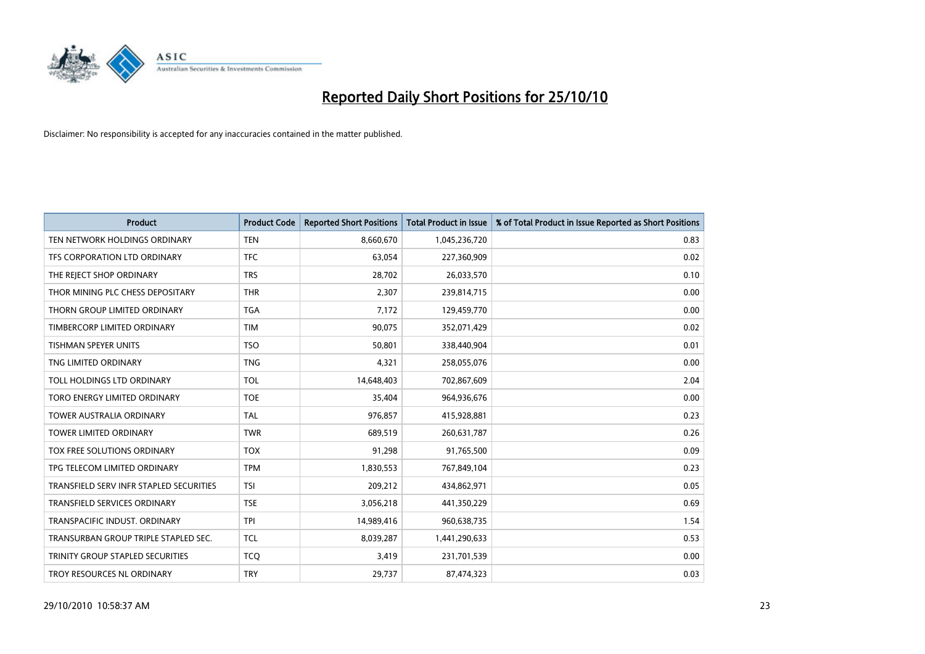

| <b>Product</b>                          | <b>Product Code</b> | <b>Reported Short Positions</b> | <b>Total Product in Issue</b> | % of Total Product in Issue Reported as Short Positions |
|-----------------------------------------|---------------------|---------------------------------|-------------------------------|---------------------------------------------------------|
| TEN NETWORK HOLDINGS ORDINARY           | <b>TEN</b>          | 8,660,670                       | 1,045,236,720                 | 0.83                                                    |
| TFS CORPORATION LTD ORDINARY            | <b>TFC</b>          | 63,054                          | 227,360,909                   | 0.02                                                    |
| THE REJECT SHOP ORDINARY                | <b>TRS</b>          | 28.702                          | 26,033,570                    | 0.10                                                    |
| THOR MINING PLC CHESS DEPOSITARY        | <b>THR</b>          | 2,307                           | 239,814,715                   | 0.00                                                    |
| THORN GROUP LIMITED ORDINARY            | <b>TGA</b>          | 7,172                           | 129,459,770                   | 0.00                                                    |
| TIMBERCORP LIMITED ORDINARY             | <b>TIM</b>          | 90,075                          | 352,071,429                   | 0.02                                                    |
| <b>TISHMAN SPEYER UNITS</b>             | <b>TSO</b>          | 50,801                          | 338,440,904                   | 0.01                                                    |
| TNG LIMITED ORDINARY                    | <b>TNG</b>          | 4,321                           | 258,055,076                   | 0.00                                                    |
| TOLL HOLDINGS LTD ORDINARY              | <b>TOL</b>          | 14,648,403                      | 702,867,609                   | 2.04                                                    |
| TORO ENERGY LIMITED ORDINARY            | <b>TOE</b>          | 35,404                          | 964,936,676                   | 0.00                                                    |
| TOWER AUSTRALIA ORDINARY                | <b>TAL</b>          | 976,857                         | 415,928,881                   | 0.23                                                    |
| <b>TOWER LIMITED ORDINARY</b>           | <b>TWR</b>          | 689,519                         | 260,631,787                   | 0.26                                                    |
| TOX FREE SOLUTIONS ORDINARY             | <b>TOX</b>          | 91,298                          | 91,765,500                    | 0.09                                                    |
| TPG TELECOM LIMITED ORDINARY            | <b>TPM</b>          | 1,830,553                       | 767,849,104                   | 0.23                                                    |
| TRANSFIELD SERV INFR STAPLED SECURITIES | <b>TSI</b>          | 209,212                         | 434,862,971                   | 0.05                                                    |
| <b>TRANSFIELD SERVICES ORDINARY</b>     | <b>TSE</b>          | 3,056,218                       | 441,350,229                   | 0.69                                                    |
| TRANSPACIFIC INDUST. ORDINARY           | <b>TPI</b>          | 14,989,416                      | 960,638,735                   | 1.54                                                    |
| TRANSURBAN GROUP TRIPLE STAPLED SEC.    | <b>TCL</b>          | 8,039,287                       | 1,441,290,633                 | 0.53                                                    |
| TRINITY GROUP STAPLED SECURITIES        | <b>TCO</b>          | 3,419                           | 231,701,539                   | 0.00                                                    |
| TROY RESOURCES NL ORDINARY              | <b>TRY</b>          | 29,737                          | 87,474,323                    | 0.03                                                    |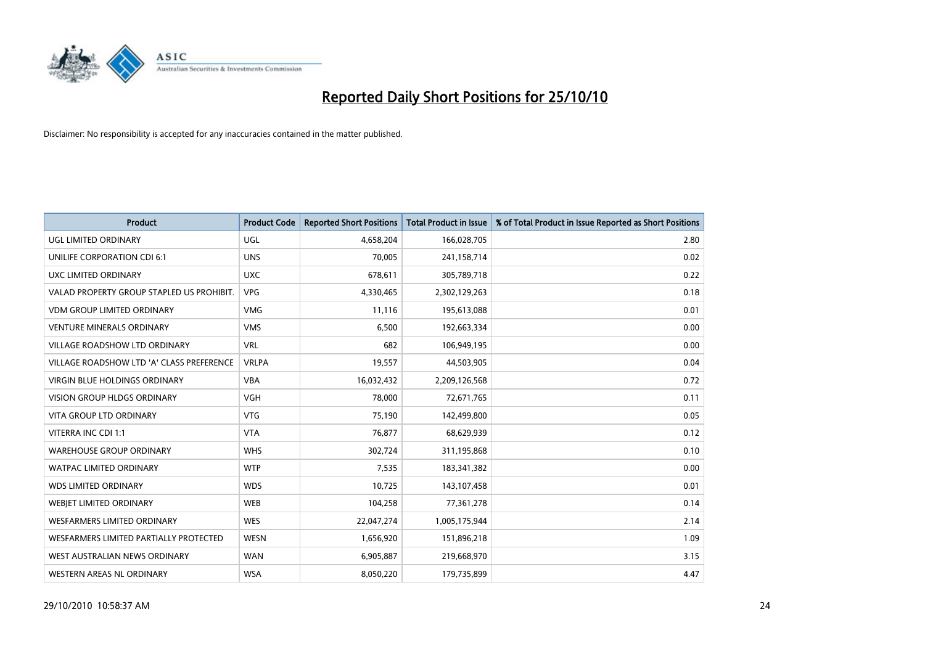

| <b>Product</b>                            | <b>Product Code</b> | <b>Reported Short Positions</b> | <b>Total Product in Issue</b> | % of Total Product in Issue Reported as Short Positions |
|-------------------------------------------|---------------------|---------------------------------|-------------------------------|---------------------------------------------------------|
| UGL LIMITED ORDINARY                      | UGL                 | 4,658,204                       | 166,028,705                   | 2.80                                                    |
| UNILIFE CORPORATION CDI 6:1               | <b>UNS</b>          | 70,005                          | 241,158,714                   | 0.02                                                    |
| UXC LIMITED ORDINARY                      | <b>UXC</b>          | 678.611                         | 305,789,718                   | 0.22                                                    |
| VALAD PROPERTY GROUP STAPLED US PROHIBIT. | <b>VPG</b>          | 4,330,465                       | 2,302,129,263                 | 0.18                                                    |
| <b>VDM GROUP LIMITED ORDINARY</b>         | <b>VMG</b>          | 11,116                          | 195,613,088                   | 0.01                                                    |
| <b>VENTURE MINERALS ORDINARY</b>          | <b>VMS</b>          | 6,500                           | 192,663,334                   | 0.00                                                    |
| VILLAGE ROADSHOW LTD ORDINARY             | <b>VRL</b>          | 682                             | 106,949,195                   | 0.00                                                    |
| VILLAGE ROADSHOW LTD 'A' CLASS PREFERENCE | <b>VRLPA</b>        | 19,557                          | 44,503,905                    | 0.04                                                    |
| <b>VIRGIN BLUE HOLDINGS ORDINARY</b>      | <b>VBA</b>          | 16,032,432                      | 2,209,126,568                 | 0.72                                                    |
| <b>VISION GROUP HLDGS ORDINARY</b>        | <b>VGH</b>          | 78,000                          | 72,671,765                    | 0.11                                                    |
| VITA GROUP LTD ORDINARY                   | <b>VTG</b>          | 75,190                          | 142,499,800                   | 0.05                                                    |
| VITERRA INC CDI 1:1                       | <b>VTA</b>          | 76,877                          | 68,629,939                    | 0.12                                                    |
| <b>WAREHOUSE GROUP ORDINARY</b>           | <b>WHS</b>          | 302,724                         | 311,195,868                   | 0.10                                                    |
| <b>WATPAC LIMITED ORDINARY</b>            | <b>WTP</b>          | 7,535                           | 183,341,382                   | 0.00                                                    |
| <b>WDS LIMITED ORDINARY</b>               | <b>WDS</b>          | 10,725                          | 143,107,458                   | 0.01                                                    |
| <b>WEBJET LIMITED ORDINARY</b>            | <b>WEB</b>          | 104,258                         | 77,361,278                    | 0.14                                                    |
| WESFARMERS LIMITED ORDINARY               | <b>WES</b>          | 22,047,274                      | 1,005,175,944                 | 2.14                                                    |
| WESFARMERS LIMITED PARTIALLY PROTECTED    | <b>WESN</b>         | 1,656,920                       | 151,896,218                   | 1.09                                                    |
| WEST AUSTRALIAN NEWS ORDINARY             | <b>WAN</b>          | 6,905,887                       | 219,668,970                   | 3.15                                                    |
| WESTERN AREAS NL ORDINARY                 | <b>WSA</b>          | 8,050,220                       | 179,735,899                   | 4.47                                                    |